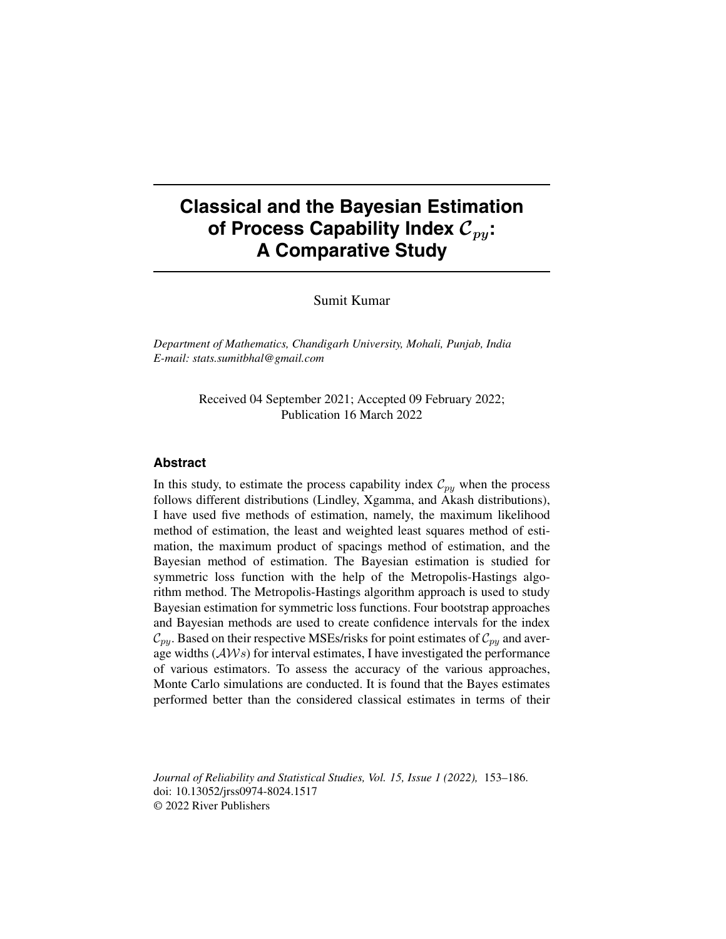# **Classical and the Bayesian Estimation** of Process Capability Index  $C_{p\mu}$ : **A Comparative Study**

Sumit Kumar

*Department of Mathematics, Chandigarh University, Mohali, Punjab, India E-mail: stats.sumitbhal@gmail.com*

> Received 04 September 2021; Accepted 09 February 2022; Publication 16 March 2022

#### **Abstract**

In this study, to estimate the process capability index  $\mathcal{C}_{py}$  when the process follows different distributions (Lindley, Xgamma, and Akash distributions), I have used five methods of estimation, namely, the maximum likelihood method of estimation, the least and weighted least squares method of estimation, the maximum product of spacings method of estimation, and the Bayesian method of estimation. The Bayesian estimation is studied for symmetric loss function with the help of the Metropolis-Hastings algorithm method. The Metropolis-Hastings algorithm approach is used to study Bayesian estimation for symmetric loss functions. Four bootstrap approaches and Bayesian methods are used to create confidence intervals for the index  $\mathcal{C}_{py}$ . Based on their respective MSEs/risks for point estimates of  $\mathcal{C}_{py}$  and average widths  $(AVs)$  for interval estimates, I have investigated the performance of various estimators. To assess the accuracy of the various approaches, Monte Carlo simulations are conducted. It is found that the Bayes estimates performed better than the considered classical estimates in terms of their

*Journal of Reliability and Statistical Studies, Vol. 15, Issue 1 (2022),* 153–186. doi: 10.13052/jrss0974-8024.1517 © 2022 River Publishers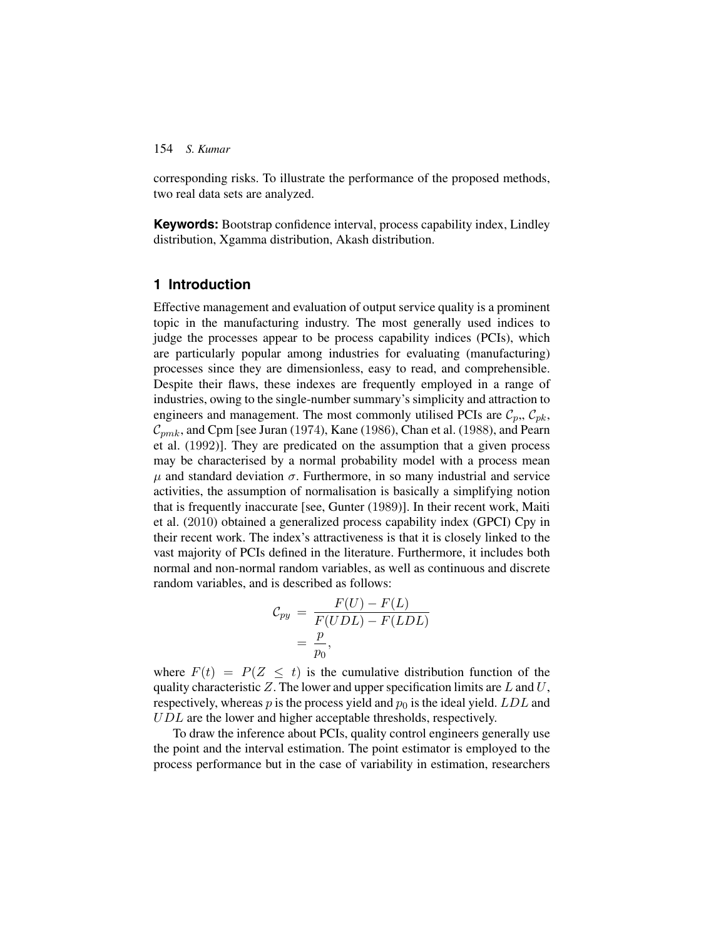corresponding risks. To illustrate the performance of the proposed methods, two real data sets are analyzed.

**Keywords:** Bootstrap confidence interval, process capability index, Lindley distribution, Xgamma distribution, Akash distribution.

# **1 Introduction**

Effective management and evaluation of output service quality is a prominent topic in the manufacturing industry. The most generally used indices to judge the processes appear to be process capability indices (PCIs), which are particularly popular among industries for evaluating (manufacturing) processes since they are dimensionless, easy to read, and comprehensible. Despite their flaws, these indexes are frequently employed in a range of industries, owing to the single-number summary's simplicity and attraction to engineers and management. The most commonly utilised PCIs are  $\mathcal{C}_n$ ,  $\mathcal{C}_{nk}$ ,  $\mathcal{C}_{pmk}$ , and Cpm [see Juran (1974), Kane (1986), Chan et al. (1988), and Pearn et al. (1992)]. They are predicated on the assumption that a given process may be characterised by a normal probability model with a process mean  $\mu$  and standard deviation  $\sigma$ . Furthermore, in so many industrial and service activities, the assumption of normalisation is basically a simplifying notion that is frequently inaccurate [see, Gunter (1989)]. In their recent work, Maiti et al. (2010) obtained a generalized process capability index (GPCI) Cpy in their recent work. The index's attractiveness is that it is closely linked to the vast majority of PCIs defined in the literature. Furthermore, it includes both normal and non-normal random variables, as well as continuous and discrete random variables, and is described as follows:

$$
\mathcal{C}_{py} = \frac{F(U) - F(L)}{F(UDL) - F(LDL)}
$$
  
=  $\frac{p}{p_0}$ ,

where  $F(t) = P(Z \leq t)$  is the cumulative distribution function of the quality characteristic Z. The lower and upper specification limits are  $L$  and  $U$ , respectively, whereas  $p$  is the process yield and  $p_0$  is the ideal yield. LDL and UDL are the lower and higher acceptable thresholds, respectively.

To draw the inference about PCIs, quality control engineers generally use the point and the interval estimation. The point estimator is employed to the process performance but in the case of variability in estimation, researchers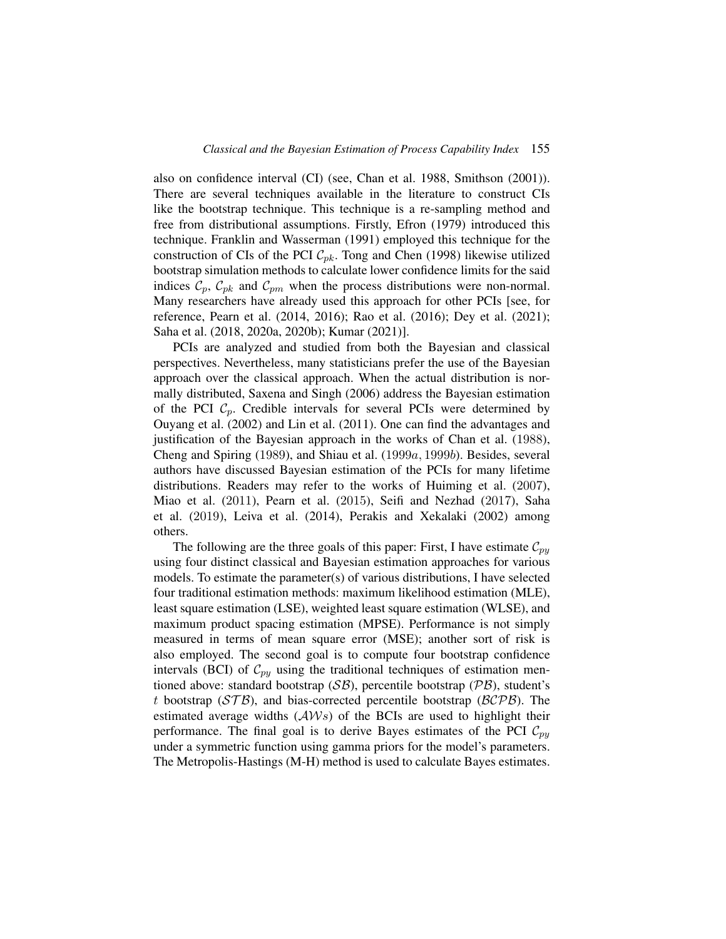also on confidence interval (CI) (see, Chan et al. 1988, Smithson (2001)). There are several techniques available in the literature to construct CIs like the bootstrap technique. This technique is a re-sampling method and free from distributional assumptions. Firstly, Efron (1979) introduced this technique. Franklin and Wasserman (1991) employed this technique for the construction of CIs of the PCI  $C_{pk}$ . Tong and Chen (1998) likewise utilized bootstrap simulation methods to calculate lower confidence limits for the said indices  $C_p$ ,  $C_{pk}$  and  $C_{pm}$  when the process distributions were non-normal. Many researchers have already used this approach for other PCIs [see, for reference, Pearn et al. (2014, 2016); Rao et al. (2016); Dey et al. (2021); Saha et al. (2018, 2020a, 2020b); Kumar (2021)].

PCIs are analyzed and studied from both the Bayesian and classical perspectives. Nevertheless, many statisticians prefer the use of the Bayesian approach over the classical approach. When the actual distribution is normally distributed, Saxena and Singh (2006) address the Bayesian estimation of the PCI  $C_p$ . Credible intervals for several PCIs were determined by Ouyang et al. (2002) and Lin et al. (2011). One can find the advantages and justification of the Bayesian approach in the works of Chan et al. (1988), Cheng and Spiring (1989), and Shiau et al. (1999a, 1999b). Besides, several authors have discussed Bayesian estimation of the PCIs for many lifetime distributions. Readers may refer to the works of Huiming et al. (2007), Miao et al. (2011), Pearn et al. (2015), Seifi and Nezhad (2017), Saha et al. (2019), Leiva et al. (2014), Perakis and Xekalaki (2002) among others.

The following are the three goals of this paper: First, I have estimate  $\mathcal{C}_{py}$ using four distinct classical and Bayesian estimation approaches for various models. To estimate the parameter(s) of various distributions, I have selected four traditional estimation methods: maximum likelihood estimation (MLE), least square estimation (LSE), weighted least square estimation (WLSE), and maximum product spacing estimation (MPSE). Performance is not simply measured in terms of mean square error (MSE); another sort of risk is also employed. The second goal is to compute four bootstrap confidence intervals (BCI) of  $\mathcal{C}_{py}$  using the traditional techniques of estimation mentioned above: standard bootstrap  $(S\mathcal{B})$ , percentile bootstrap  $(\mathcal{P}\mathcal{B})$ , student's t bootstrap ( $STB$ ), and bias-corrected percentile bootstrap ( $BCPB$ ). The estimated average widths  $(AVs)$  of the BCIs are used to highlight their performance. The final goal is to derive Bayes estimates of the PCI  $\mathcal{C}_{\text{pv}}$ under a symmetric function using gamma priors for the model's parameters. The Metropolis-Hastings (M-H) method is used to calculate Bayes estimates.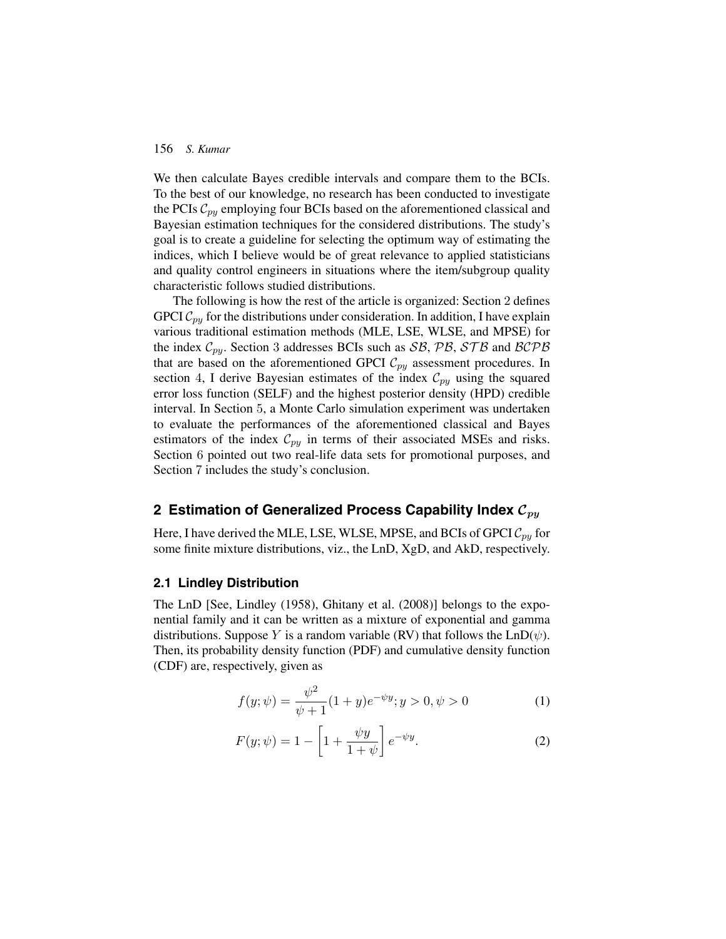We then calculate Bayes credible intervals and compare them to the BCIs. To the best of our knowledge, no research has been conducted to investigate the PCIs  $\mathcal{C}_{\text{pv}}$  employing four BCIs based on the aforementioned classical and Bayesian estimation techniques for the considered distributions. The study's goal is to create a guideline for selecting the optimum way of estimating the indices, which I believe would be of great relevance to applied statisticians and quality control engineers in situations where the item/subgroup quality characteristic follows studied distributions.

The following is how the rest of the article is organized: Section 2 defines GPCI  $\mathcal{C}_{\textit{pv}}$  for the distributions under consideration. In addition, I have explain various traditional estimation methods (MLE, LSE, WLSE, and MPSE) for the index  $C_{\text{pv}}$ . Section 3 addresses BCIs such as SB, PB, STB and BCPB that are based on the aforementioned GPCI  $\mathcal{C}_{py}$  assessment procedures. In section 4, I derive Bayesian estimates of the index  $\mathcal{C}_{py}$  using the squared error loss function (SELF) and the highest posterior density (HPD) credible interval. In Section 5, a Monte Carlo simulation experiment was undertaken to evaluate the performances of the aforementioned classical and Bayes estimators of the index  $\mathcal{C}_{pv}$  in terms of their associated MSEs and risks. Section 6 pointed out two real-life data sets for promotional purposes, and Section 7 includes the study's conclusion.

# 2 Estimation of Generalized Process Capability Index  $\mathcal{C}_{py}$

Here, I have derived the MLE, LSE, WLSE, MPSE, and BCIs of GPCI  $\mathcal{C}_{py}$  for some finite mixture distributions, viz., the LnD, XgD, and AkD, respectively.

#### <span id="page-3-1"></span>**2.1 Lindley Distribution**

The LnD [See, Lindley (1958), Ghitany et al. (2008)] belongs to the exponential family and it can be written as a mixture of exponential and gamma distributions. Suppose Y is a random variable (RV) that follows the  $\text{LnD}(\psi)$ . Then, its probability density function (PDF) and cumulative density function (CDF) are, respectively, given as

<span id="page-3-0"></span>
$$
f(y; \psi) = \frac{\psi^2}{\psi + 1} (1 + y)e^{-\psi y}; y > 0, \psi > 0
$$
 (1)

$$
F(y; \psi) = 1 - \left[1 + \frac{\psi y}{1 + \psi}\right] e^{-\psi y}.
$$
 (2)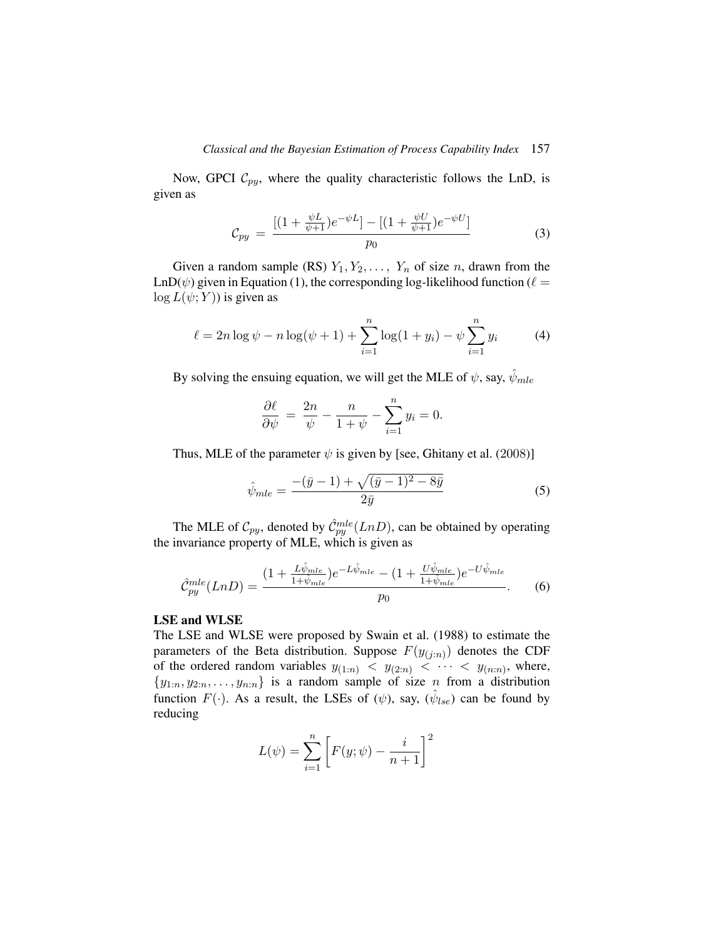Now, GPCI  $C_{py}$ , where the quality characteristic follows the LnD, is given as

<span id="page-4-0"></span>
$$
\mathcal{C}_{py} = \frac{[(1 + \frac{\psi L}{\psi + 1})e^{-\psi L}] - [(1 + \frac{\psi U}{\psi + 1})e^{-\psi U}]}{p_0} \tag{3}
$$

Given a random sample (RS)  $Y_1, Y_2, \ldots, Y_n$  of size n, drawn from the LnD( $\psi$ ) given in Equation [\(1\)](#page-3-0), the corresponding log-likelihood function ( $\ell =$  $\log L(\psi; Y)$ ) is given as

$$
\ell = 2n \log \psi - n \log(\psi + 1) + \sum_{i=1}^{n} \log(1 + y_i) - \psi \sum_{i=1}^{n} y_i \tag{4}
$$

By solving the ensuing equation, we will get the MLE of  $\psi$ , say,  $\psi_{mle}$ 

$$
\frac{\partial \ell}{\partial \psi} = \frac{2n}{\psi} - \frac{n}{1 + \psi} - \sum_{i=1}^{n} y_i = 0.
$$

Thus, MLE of the parameter  $\psi$  is given by [see, Ghitany et al. (2008)]

$$
\hat{\psi}_{mle} = \frac{-(\bar{y}-1) + \sqrt{(\bar{y}-1)^2 - 8\bar{y}}}{2\bar{y}} \tag{5}
$$

The MLE of  $\mathcal{C}_{py}$ , denoted by  $\hat{\mathcal{C}}_{py}^{mle}(LnD)$ , can be obtained by operating the invariance property of MLE, which is given as

$$
\hat{C}_{py}^{mle}(LnD) = \frac{(1 + \frac{L\hat{\psi}_{mle}}{1 + \hat{\psi}_{mle}})e^{-L\hat{\psi}_{mle}} - (1 + \frac{U\hat{\psi}_{mle}}{1 + \hat{\psi}_{mle}})e^{-U\hat{\psi}_{mle}}}{p_0}.
$$
(6)

#### **LSE and WLSE**

The LSE and WLSE were proposed by Swain et al. (1988) to estimate the parameters of the Beta distribution. Suppose  $F(y_{(j:n)})$  denotes the CDF of the ordered random variables  $y_{(1:n)} < y_{(2:n)} < \cdots < y_{(n:n)}$ , where,  $\{y_{1:n}, y_{2:n}, \ldots, y_{n:n}\}\$ is a random sample of size n from a distribution function  $F(\cdot)$ . As a result, the LSEs of  $(\psi)$ , say,  $(\hat{\psi}_{lse})$  can be found by reducing

$$
L(\psi) = \sum_{i=1}^{n} \left[ F(y; \psi) - \frac{i}{n+1} \right]^2
$$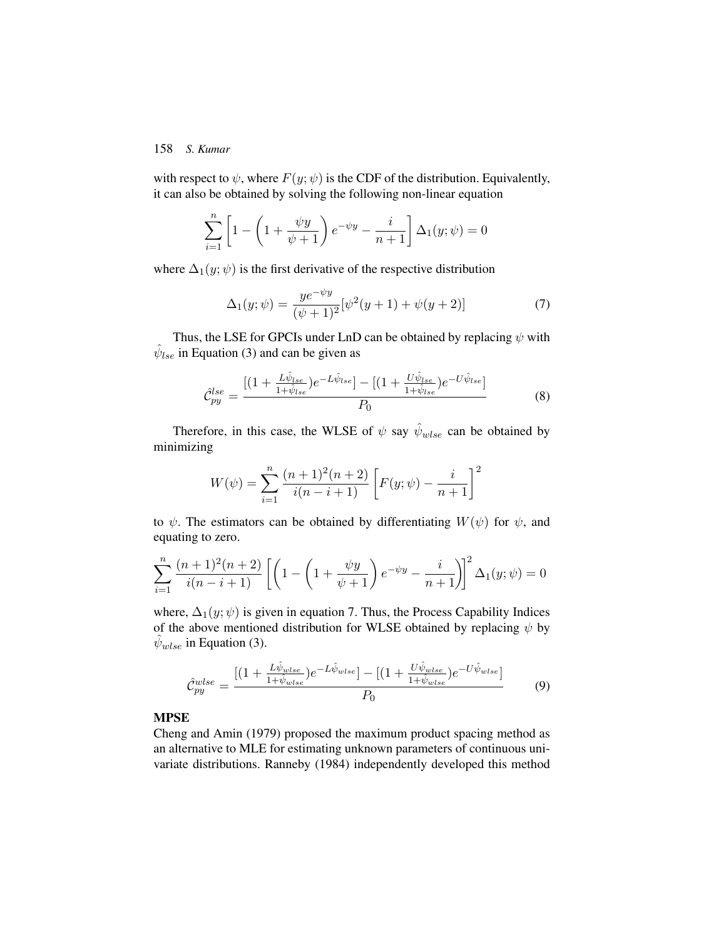with respect to  $\psi$ , where  $F(y; \psi)$  is the CDF of the distribution. Equivalently, it can also be obtained by solving the following non-linear equation

$$
\sum_{i=1}^{n} \left[ 1 - \left( 1 + \frac{\psi y}{\psi + 1} \right) e^{-\psi y} - \frac{i}{n+1} \right] \Delta_1(y; \psi) = 0
$$

where  $\Delta_1(y; \psi)$  is the first derivative of the respective distribution

<span id="page-5-0"></span>
$$
\Delta_1(y; \psi) = \frac{y e^{-\psi y}}{(\psi + 1)^2} [\psi^2(y+1) + \psi(y+2)] \tag{7}
$$

Thus, the LSE for GPCIs under LnD can be obtained by replacing  $\psi$  with  $\hat{\psi}_{lse}$  in Equation [\(3\)](#page-4-0) and can be given as

$$
\hat{C}_{py}^{lse} = \frac{\left[ (1 + \frac{L\hat{\psi}_{lse}}{1 + \hat{\psi}_{lse}})e^{-L\hat{\psi}_{lse}} \right] - \left[ (1 + \frac{U\hat{\psi}_{lse}}{1 + \hat{\psi}_{lse}})e^{-U\hat{\psi}_{lse}} \right]}{P_0}
$$
(8)

Therefore, in this case, the WLSE of  $\psi$  say  $\hat{\psi}_{wlse}$  can be obtained by minimizing

$$
W(\psi) = \sum_{i=1}^{n} \frac{(n+1)^2(n+2)}{i(n-i+1)} \left[ F(y; \psi) - \frac{i}{n+1} \right]^2
$$

to  $\psi$ . The estimators can be obtained by differentiating  $W(\psi)$  for  $\psi$ , and equating to zero.

$$
\sum_{i=1}^{n} \frac{(n+1)^2(n+2)}{i(n-i+1)} \left[ \left( 1 - \left( 1 + \frac{\psi y}{\psi + 1} \right) e^{-\psi y} - \frac{i}{n+1} \right) \right]^2 \Delta_1(y; \psi) = 0
$$

where,  $\Delta_1(y; \psi)$  is given in equation [7.](#page-5-0) Thus, the Process Capability Indices of the above mentioned distribution for WLSE obtained by replacing  $\psi$  by  $\hat{\psi}_{wlse}$  in Equation [\(3\)](#page-4-0).

$$
\hat{C}_{py}^{wlse} = \frac{\left[ (1 + \frac{L\hat{\psi}_{wlse}}{1 + \hat{\psi}_{wlse}} \right) e^{-L\hat{\psi}_{wlse}} \right] - \left[ (1 + \frac{U\hat{\psi}_{wlse}}{1 + \hat{\psi}_{wlse}} \right) e^{-U\hat{\psi}_{wlse}} \right]}{P_0} \tag{9}
$$

# **MPSE**

Cheng and Amin (1979) proposed the maximum product spacing method as an alternative to MLE for estimating unknown parameters of continuous univariate distributions. Ranneby (1984) independently developed this method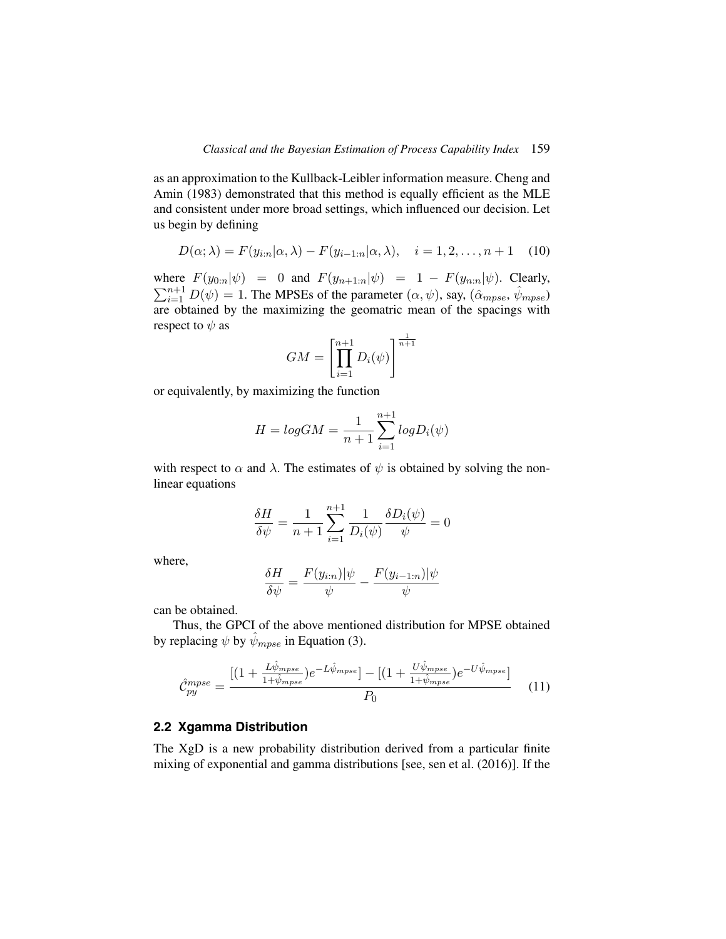as an approximation to the Kullback-Leibler information measure. Cheng and Amin (1983) demonstrated that this method is equally efficient as the MLE and consistent under more broad settings, which influenced our decision. Let us begin by defining

$$
D(\alpha; \lambda) = F(y_{i:n} | \alpha, \lambda) - F(y_{i-1:n} | \alpha, \lambda), \quad i = 1, 2, \dots, n+1 \quad (10)
$$

where  $F(y_{0:n}|\psi) = 0$  and  $F(y_{n+1:n}|\psi) = 1 - F(y_{n:n}|\psi)$ . Clearly,  $\sum_{i=1}^{n+1} D(\psi) = 1$ . The MPSEs of the parameter  $(\alpha, \psi)$ , say,  $(\hat{\alpha}_{mpse}, \hat{\psi}_{mpse})$ are obtained by the maximizing the geomatric mean of the spacings with respect to  $\psi$  as

$$
GM = \left[\prod_{i=1}^{n+1} D_i(\psi)\right]^{\frac{1}{n+1}}
$$

or equivalently, by maximizing the function

$$
H = logGM = \frac{1}{n+1} \sum_{i=1}^{n+1} logD_i(\psi)
$$

with respect to  $\alpha$  and  $\lambda$ . The estimates of  $\psi$  is obtained by solving the nonlinear equations

$$
\frac{\delta H}{\delta \psi} = \frac{1}{n+1} \sum_{i=1}^{n+1} \frac{1}{D_i(\psi)} \frac{\delta D_i(\psi)}{\psi} = 0
$$

where,

$$
\frac{\delta H}{\delta \psi} = \frac{F(y_{i:n})|\psi}{\psi} - \frac{F(y_{i-1:n})|\psi|}{\psi}
$$

can be obtained.

Thus, the GPCI of the above mentioned distribution for MPSE obtained by replacing  $\psi$  by  $\hat{\psi}_{m p s e}$  in Equation [\(3\)](#page-4-0).

$$
\hat{C}_{py}^{mpse} = \frac{\left[ (1 + \frac{L\hat{\psi}_{mpse}}{1 + \hat{\psi}_{mpse}})e^{-L\hat{\psi}_{mpse}} \right] - \left[ (1 + \frac{U\hat{\psi}_{mpse}}{1 + \hat{\psi}_{mpse}})e^{-U\hat{\psi}_{mpse}} \right]}{P_0} \tag{11}
$$

# **2.2 Xgamma Distribution**

The XgD is a new probability distribution derived from a particular finite mixing of exponential and gamma distributions [see, sen et al. (2016)]. If the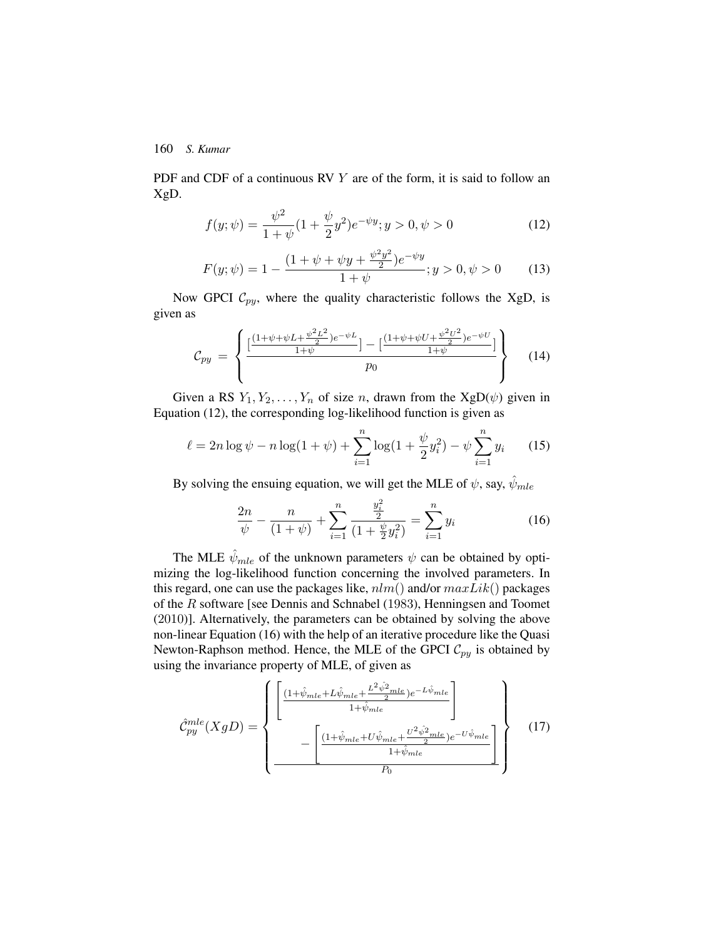PDF and CDF of a continuous RV Y are of the form, it is said to follow an XgD.

<span id="page-7-0"></span>
$$
f(y; \psi) = \frac{\psi^2}{1 + \psi} (1 + \frac{\psi}{2} y^2) e^{-\psi y}; y > 0, \psi > 0
$$
 (12)

$$
F(y; \psi) = 1 - \frac{(1 + \psi + \psi y + \frac{\psi^2 y^2}{2})e^{-\psi y}}{1 + \psi}; y > 0, \psi > 0 \tag{13}
$$

Now GPCI  $\mathcal{C}_{py}$ , where the quality characteristic follows the XgD, is given as

<span id="page-7-2"></span>
$$
\mathcal{C}_{py} = \left\{ \frac{\left[\frac{(1+\psi+\psi L + \frac{\psi^2 L^2}{2})e^{-\psi L}}{1+\psi}\right] - \left[\frac{(1+\psi+\psi U + \frac{\psi^2 U^2}{2})e^{-\psi U}}{1+\psi}\right]}{p_0} \right\}
$$
(14)

Given a RS  $Y_1, Y_2, \ldots, Y_n$  of size n, drawn from the  $XgD(\psi)$  given in Equation [\(12\)](#page-7-0), the corresponding log-likelihood function is given as

$$
\ell = 2n \log \psi - n \log(1 + \psi) + \sum_{i=1}^{n} \log(1 + \frac{\psi}{2} y_i^2) - \psi \sum_{i=1}^{n} y_i \tag{15}
$$

By solving the ensuing equation, we will get the MLE of  $\psi$ , say,  $\hat{\psi}_{mle}$ 

<span id="page-7-1"></span>
$$
\frac{2n}{\psi} - \frac{n}{(1+\psi)} + \sum_{i=1}^{n} \frac{\frac{y_i^2}{2}}{(1+\frac{\psi}{2}y_i^2)} = \sum_{i=1}^{n} y_i
$$
 (16)

The MLE  $\hat{\psi}_{mle}$  of the unknown parameters  $\psi$  can be obtained by optimizing the log-likelihood function concerning the involved parameters. In this regard, one can use the packages like,  $nlm()$  and/or  $maxLik()$  packages of the R software [see Dennis and Schnabel (1983), Henningsen and Toomet (2010)]. Alternatively, the parameters can be obtained by solving the above non-linear Equation [\(16\)](#page-7-1) with the help of an iterative procedure like the Quasi Newton-Raphson method. Hence, the MLE of the GPCI  $\mathcal{C}_{py}$  is obtained by using the invariance property of MLE, of given as

$$
\hat{C}_{py}^{mle}(XgD) = \begin{cases}\n\left[ \frac{(1+\hat{\psi}_{mle} + L\hat{\psi}_{mle} + \frac{L^2\hat{\psi}^2mle}{2})e^{-L\hat{\psi}_{mle}}}{1+\hat{\psi}_{mle}} \right] & \\
-\left[ \frac{(1+\hat{\psi}_{mle} + U\hat{\psi}_{mle} + \frac{U^2\hat{\psi}^2mle}{2})e^{-U\hat{\psi}_{mle}}}{1+\hat{\psi}_{mle}} \right] & (17)\n\end{cases}
$$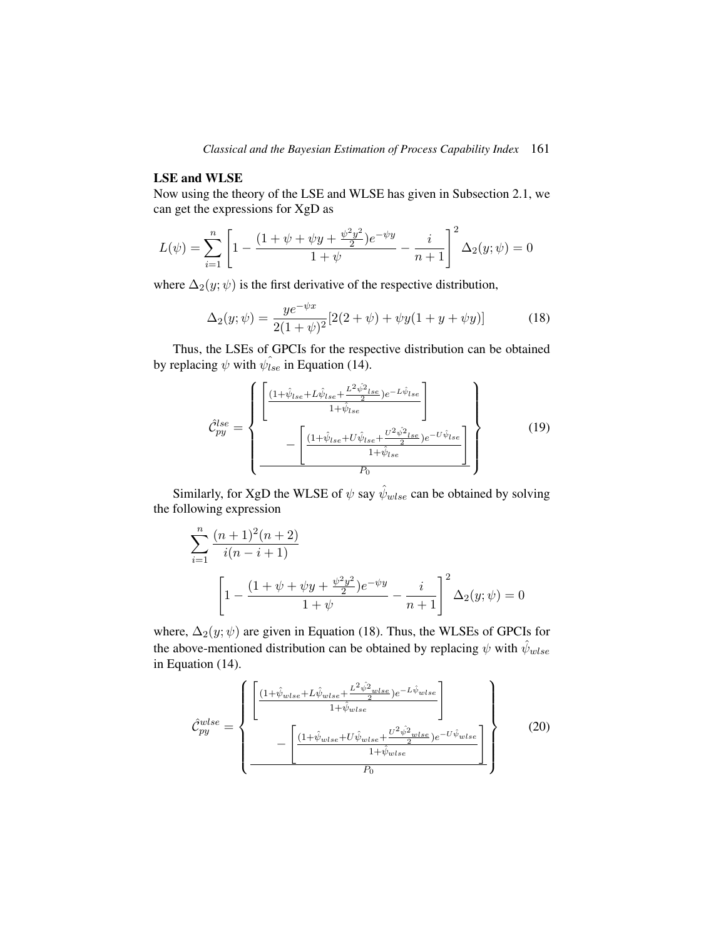## **LSE and WLSE**

Now using the theory of the LSE and WLSE has given in Subsection [2.1,](#page-3-1) we can get the expressions for XgD as

$$
L(\psi) = \sum_{i=1}^{n} \left[ 1 - \frac{(1 + \psi + \psi y + \frac{\psi^2 y^2}{2})e^{-\psi y}}{1 + \psi} - \frac{i}{n+1} \right]^2 \Delta_2(y; \psi) = 0
$$

where  $\Delta_2(y; \psi)$  is the first derivative of the respective distribution,

<span id="page-8-0"></span>
$$
\Delta_2(y; \psi) = \frac{y e^{-\psi x}}{2(1 + \psi)^2} [2(2 + \psi) + \psi y (1 + y + \psi y)] \tag{18}
$$

Thus, the LSEs of GPCIs for the respective distribution can be obtained by replacing  $\psi$  with  $\hat{\psi}_{lse}$  in Equation [\(14\)](#page-7-2).

$$
\hat{C}_{py}^{lse} = \begin{Bmatrix} \begin{bmatrix} \frac{(1+\hat{\psi}_{lse} + L\hat{\psi}_{lse} + \frac{L^2\hat{\psi}_{lse}}{2}e^{-L\hat{\psi}_{lse}}}{1+\hat{\psi}_{lse}}\\ 1+\hat{\psi}_{lse} \end{bmatrix} \\ - \begin{bmatrix} \frac{(1+\hat{\psi}_{lse} + U\hat{\psi}_{lse} + \frac{U^2\hat{\psi}_{lse}}{2}e^{-U\hat{\psi}_{lse}}}{1+\hat{\psi}_{lse}}\\ 0 \end{bmatrix} \\ \frac{-\begin{bmatrix} \frac{(1+\hat{\psi}_{lse} + U\hat{\psi}_{lse} + \frac{U^2\hat{\psi}_{lse}}{2}e^{-U\hat{\psi}_{lse}}}{P_0} \end{bmatrix} \\ \frac{-\begin{bmatrix} \frac{(1+\hat{\psi}_{lse} + U\hat{\psi}_{lse} + U\hat{\psi}_{lse} + \frac{U^2\hat{\psi}_{lse}}{2}e^{-U\hat{\psi}_{lse}}\\ 0 \end{bmatrix} \end{Bmatrix} \end{Bmatrix} \tag{19}
$$

Similarly, for XgD the WLSE of  $\psi$  say  $\hat{\psi}_{wlse}$  can be obtained by solving the following expression

$$
\sum_{i=1}^{n} \frac{(n+1)^2(n+2)}{i(n-i+1)}
$$

$$
\left[1 - \frac{(1+\psi+\psi+y+\frac{\psi^2y^2}{2})e^{-\psi y}}{1+\psi} - \frac{i}{n+1}\right]^2 \Delta_2(y; \psi) = 0
$$

where,  $\Delta_2(y; \psi)$  are given in Equation [\(18\)](#page-8-0). Thus, the WLSEs of GPCIs for the above-mentioned distribution can be obtained by replacing  $\psi$  with  $\hat{\psi}_{wlse}$ in Equation [\(14\)](#page-7-2).

$$
\hat{C}_{py}^{wlse} = \begin{cases}\n\left[ \frac{(1+\hat{\psi}_{wlse} + L\hat{\psi}_{wlse} + \frac{L^2\hat{\psi}^2_{wlse}}{2})e^{-L\hat{\psi}_{wlse}}}{1+\hat{\psi}_{wlse}} \right] & \\
-\left[ \frac{(1+\hat{\psi}_{wlse} + U\hat{\psi}_{wlse} + \frac{U^2\hat{\psi}^2_{wlse}}{2})e^{-U\hat{\psi}_{wlse}}}{1+\hat{\psi}_{wlse}} \right] & (20)\n\end{cases}
$$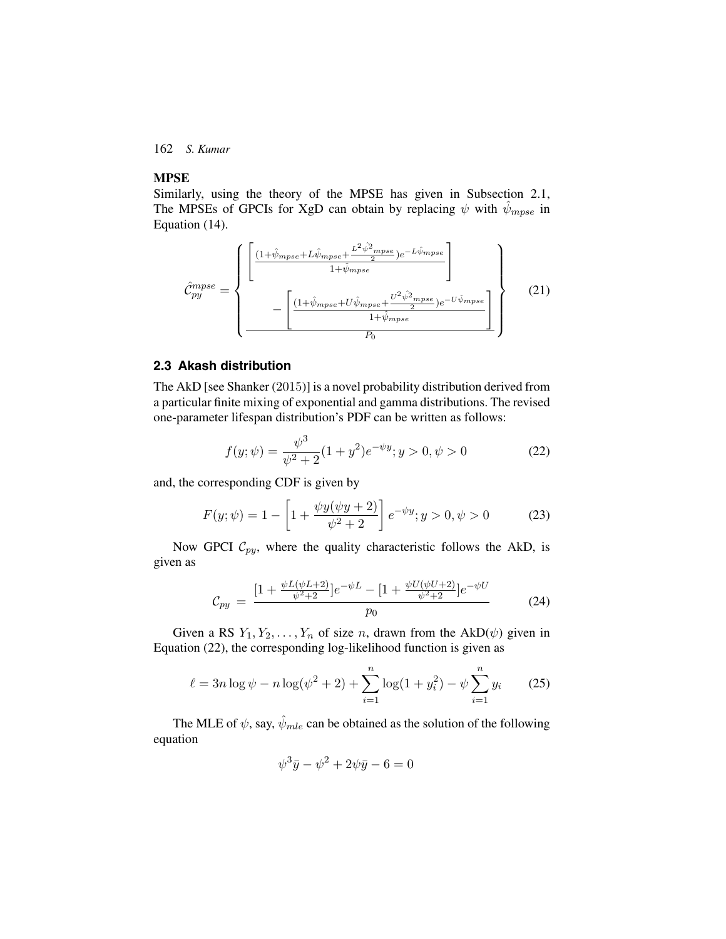# **MPSE**

Similarly, using the theory of the MPSE has given in Subsection [2.1,](#page-3-1) The MPSEs of GPCIs for XgD can obtain by replacing  $\psi$  with  $\hat{\psi}_{mpse}$  in Equation [\(14\)](#page-7-2).

$$
\hat{C}_{py}^{mpse} = \begin{Bmatrix} \begin{bmatrix} \frac{(1+\hat{\psi}_{mpse} + L\hat{\psi}_{mpse} + \frac{L^2\hat{\psi}^2 mpse}{2})e^{-L\hat{\psi}_{mpse}}}{1+\hat{\psi}_{mpse}}\\ -\frac{\left[ \frac{(1+\hat{\psi}_{mpse} + U\hat{\psi}_{mpse} + \frac{U^2\hat{\psi}^2 mpse}{2})e^{-U\hat{\psi}_{mpse}}}{1+\hat{\psi}_{mpse}} \right]}{P_0} \end{bmatrix} \end{Bmatrix} \tag{21}
$$

# **2.3 Akash distribution**

The AkD [see Shanker (2015)] is a novel probability distribution derived from a particular finite mixing of exponential and gamma distributions. The revised one-parameter lifespan distribution's PDF can be written as follows:

<span id="page-9-0"></span>
$$
f(y; \psi) = \frac{\psi^3}{\psi^2 + 2} (1 + y^2) e^{-\psi y}; y > 0, \psi > 0
$$
 (22)

and, the corresponding CDF is given by

$$
F(y; \psi) = 1 - \left[1 + \frac{\psi y(\psi y + 2)}{\psi^2 + 2}\right] e^{-\psi y}; y > 0, \psi > 0 \tag{23}
$$

Now GPCI  $C_{py}$ , where the quality characteristic follows the AkD, is given as

<span id="page-9-1"></span>
$$
\mathcal{C}_{py} = \frac{[1 + \frac{\psi L(\psi L + 2)}{\psi^2 + 2}]e^{-\psi L} - [1 + \frac{\psi U(\psi U + 2)}{\psi^2 + 2}]e^{-\psi U}}{p_0} \tag{24}
$$

Given a RS  $Y_1, Y_2, \ldots, Y_n$  of size n, drawn from the AkD( $\psi$ ) given in Equation [\(22\)](#page-9-0), the corresponding log-likelihood function is given as

$$
\ell = 3n \log \psi - n \log(\psi^2 + 2) + \sum_{i=1}^{n} \log(1 + y_i^2) - \psi \sum_{i=1}^{n} y_i \tag{25}
$$

The MLE of  $\psi$ , say,  $\hat{\psi}_{mle}$  can be obtained as the solution of the following equation

$$
\psi^3 \bar{y} - \psi^2 + 2\psi \bar{y} - 6 = 0
$$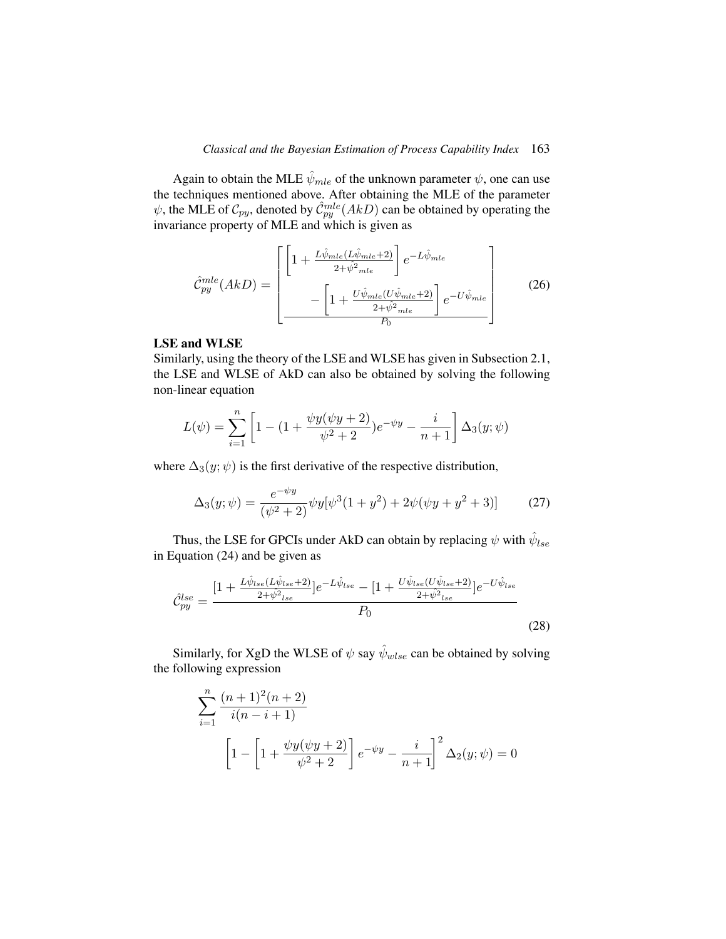Again to obtain the MLE  $\hat{\psi}_{mle}$  of the unknown parameter  $\psi$ , one can use the techniques mentioned above. After obtaining the MLE of the parameter  $\psi$ , the MLE of  $\mathcal{C}_{py}$ , denoted by  $\hat{\mathcal{C}}_{py}^{mle}(AkD)$  can be obtained by operating the invariance property of MLE and which is given as

$$
\hat{C}_{py}^{mle}(AkD) = \begin{bmatrix} \left[1 + \frac{L\hat{\psi}_{mle}(L\hat{\psi}_{mle}+2)}{2 + \hat{\psi}^2_{mle}}\right]e^{-L\hat{\psi}_{mle}}\\-\left[1 + \frac{U\hat{\psi}_{mle}(U\hat{\psi}_{mle}+2)}{2 + \hat{\psi}^2_{mle}}\right]e^{-U\hat{\psi}_{mle}}\\0\end{bmatrix}
$$
(26)

### **LSE and WLSE**

Similarly, using the theory of the LSE and WLSE has given in Subsection [2.1,](#page-3-1) the LSE and WLSE of AkD can also be obtained by solving the following non-linear equation

$$
L(\psi) = \sum_{i=1}^{n} \left[ 1 - (1 + \frac{\psi y(\psi y + 2)}{\psi^2 + 2}) e^{-\psi y} - \frac{i}{n+1} \right] \Delta_3(y; \psi)
$$

where  $\Delta_3(y; \psi)$  is the first derivative of the respective distribution,

<span id="page-10-0"></span>
$$
\Delta_3(y; \psi) = \frac{e^{-\psi y}}{(\psi^2 + 2)} \psi y [\psi^3 (1 + y^2) + 2\psi (\psi y + y^2 + 3)] \tag{27}
$$

Thus, the LSE for GPCIs under AkD can obtain by replacing  $\psi$  with  $\hat{\psi}_{lse}$ in Equation [\(24\)](#page-9-1) and be given as

$$
\hat{C}_{py}^{lse} = \frac{[1 + \frac{L\hat{\psi}_{lse}(L\hat{\psi}_{lse}+2)}{2 + \hat{\psi}^2_{lse}}]e^{-L\hat{\psi}_{lse}} - [1 + \frac{U\hat{\psi}_{lse}(U\hat{\psi}_{lse}+2)}{2 + \hat{\psi}^2_{lse}}]e^{-U\hat{\psi}_{lse}}}{P_0}
$$
(28)

Similarly, for XgD the WLSE of  $\psi$  say  $\hat{\psi}_{wlse}$  can be obtained by solving the following expression

$$
\sum_{i=1}^{n} \frac{(n+1)^2(n+2)}{i(n-i+1)}
$$

$$
\left[1 - \left[1 + \frac{\psi y(\psi y + 2)}{\psi^2 + 2}\right] e^{-\psi y} - \frac{i}{n+1}\right]^2 \Delta_2(y; \psi) = 0
$$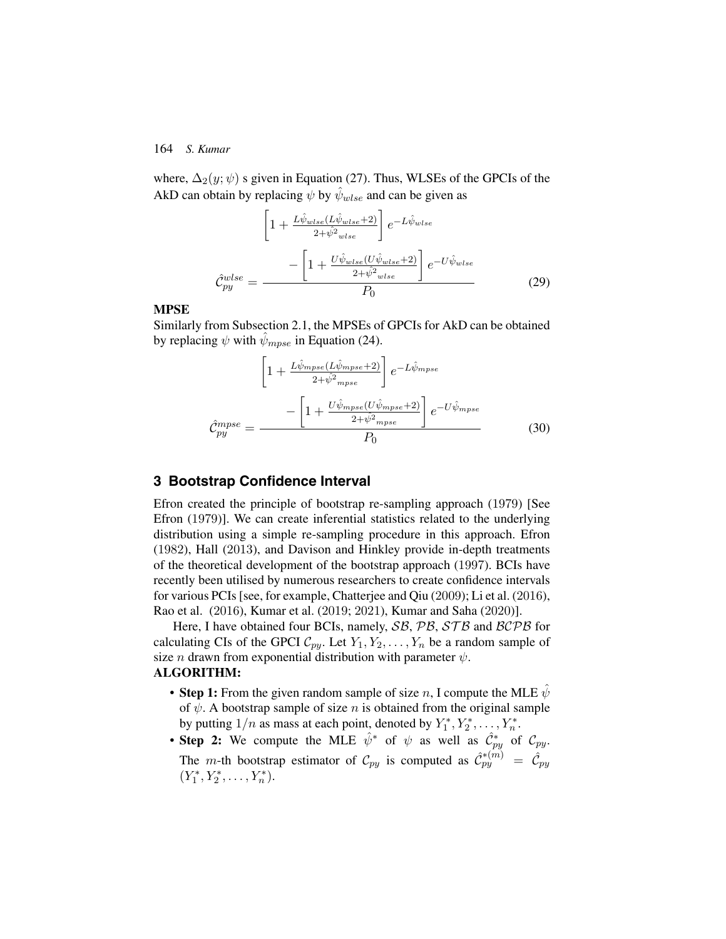where,  $\Delta_2(y; \psi)$  s given in Equation [\(27\)](#page-10-0). Thus, WLSEs of the GPCIs of the AkD can obtain by replacing  $\psi$  by  $\hat{\psi}_{w l s e}$  and can be given as

$$
\left[1 + \frac{L\hat{\psi}_{wlse}(L\hat{\psi}_{wlse}+2)}{2 + \hat{\psi}^2_{wlse}}\right]e^{-L\hat{\psi}_{wlse}}
$$
\n
$$
\hat{C}_{py}^{wlse} = \frac{-\left[1 + \frac{U\hat{\psi}_{wlse}(U\hat{\psi}_{wlse}+2)}{2 + \hat{\psi}^2_{wlse}}\right]e^{-U\hat{\psi}_{wlse}}}{P_0}
$$
\n(29)

#### **MPSE**

Similarly from Subsection [2.1,](#page-3-1) the MPSEs of GPCIs for AkD can be obtained by replacing  $\psi$  with  $\hat{\psi}_{\text{mpse}}$  in Equation [\(24\)](#page-9-1).

$$
\left[1 + \frac{L\hat{\psi}_{mpse}(L\hat{\psi}_{mpse}+2)}{2 + \hat{\psi}^2_{mpse}}\right]e^{-L\hat{\psi}_{mpse}}
$$
\n
$$
-\left[1 + \frac{U\hat{\psi}_{mpse}(U\hat{\psi}_{mpse}+2)}{2 + \hat{\psi}^2_{mpse}}\right]e^{-U\hat{\psi}_{mpse}}
$$
\n
$$
\hat{C}_{py}^{mpse} = \frac{P_0}{P_0} \tag{30}
$$

# **3 Bootstrap Confidence Interval**

Efron created the principle of bootstrap re-sampling approach (1979) [See Efron (1979)]. We can create inferential statistics related to the underlying distribution using a simple re-sampling procedure in this approach. Efron (1982), Hall (2013), and Davison and Hinkley provide in-depth treatments of the theoretical development of the bootstrap approach (1997). BCIs have recently been utilised by numerous researchers to create confidence intervals for various PCIs [see, for example, Chatterjee and Qiu (2009); Li et al. (2016), Rao et al. (2016), Kumar et al. (2019; 2021), Kumar and Saha (2020)].

Here, I have obtained four BCIs, namely, SB, PB, STB and BCPB for calculating CIs of the GPCI  $C_{py}$ . Let  $Y_1, Y_2, \ldots, Y_n$  be a random sample of size *n* drawn from exponential distribution with parameter  $\psi$ . **ALGORITHM:**

- **Step 1:** From the given random sample of size n, I compute the MLE  $\psi$ of  $\psi$ . A bootstrap sample of size *n* is obtained from the original sample by putting  $1/n$  as mass at each point, denoted by  $Y_1^*, Y_2^*, \ldots, Y_n^*$ .
- **Step 2:** We compute the MLE  $\hat{\psi}^*$  of  $\psi$  as well as  $\hat{C}_{py}^*$  of  $\mathcal{C}_{py}$ . The *m*-th bootstrap estimator of  $\mathcal{C}_{py}$  is computed as  $\hat{\mathcal{C}}_{py}^{*(m)} = \hat{\mathcal{C}}_{py}$  $(Y_1^*, Y_2^*, \ldots, Y_n^*).$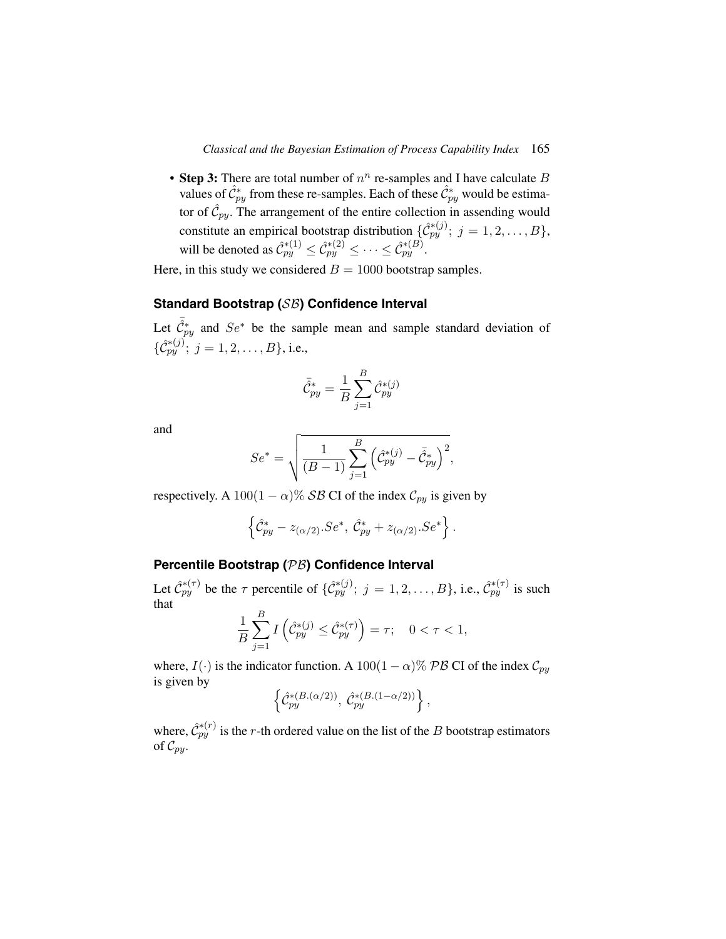• **Step 3:** There are total number of  $n^n$  re-samples and I have calculate  $B$ values of  $\hat{C}_{py}^*$  from these re-samples. Each of these  $\hat{C}_{py}^*$  would be estimator of  $\hat{C}_{py}$ . The arrangement of the entire collection in assending would constitute an empirical bootstrap distribution  $\{\hat{C}_{py}^{*(j)}; j = 1, 2, \ldots, B\},\$ will be denoted as  $\hat{C}_{py}^{*(1)} \leq \hat{C}_{py}^{*(2)} \leq \cdots \leq \hat{C}_{py}^{*(B)}$ .

Here, in this study we considered  $B = 1000$  bootstrap samples.

# **Standard Bootstrap (**SB**) Confidence Interval**

Let  $\overline{\tilde{C}}_{py}^*$  and  $Se^*$  be the sample mean and sample standard deviation of  $\{\hat{C}_{py}^{*(j)}; j = 1, 2, \ldots, B\}, \text{i.e.,}$ 

$$
\bar{\hat{\mathcal{C}}}_{py}^* = \frac{1}{B}\sum_{j=1}^B \hat{\mathcal{C}}_{py}^{*(j)}
$$

and

$$
Se^* = \sqrt{\frac{1}{(B-1)} \sum_{j=1}^{B} (\hat{C}_{py}^{*(j)} - \bar{\hat{C}}_{py}^{*})^2},
$$

respectively. A 100(1 –  $\alpha$ )% SB CI of the index  $\mathcal{C}_{py}$  is given by

$$
\left\{\hat{C}_{py}^* - z_{(\alpha/2)} . S e^*, \ \hat{C}_{py}^* + z_{(\alpha/2)} . S e^*\right\}.
$$

# **Percentile Bootstrap (**PB**) Confidence Interval**

Let  $\hat{C}_{py}^{*(\tau)}$  be the  $\tau$  percentile of  $\{\hat{C}_{py}^{*(j)}; j = 1, 2, \ldots, B\}$ , i.e.,  $\hat{C}_{py}^{*(\tau)}$  is such that

$$
\frac{1}{B} \sum_{j=1}^{B} I\left(\hat{C}_{py}^{*(j)} \le \hat{C}_{py}^{*(\tau)}\right) = \tau; \quad 0 < \tau < 1,
$$

where,  $I(\cdot)$  is the indicator function. A 100(1 –  $\alpha$ )% PB CI of the index  $\mathcal{C}_{py}$ is given by

$$
\left\{\hat{C}_{py}^{*(B.(\alpha/2))},\,\hat{C}_{py}^{*(B.(1-\alpha/2))}\right\},\,
$$

where,  $\hat{C}_{py}^{*(r)}$  is the r-th ordered value on the list of the B bootstrap estimators of  $\mathcal{C}_{pv}$ .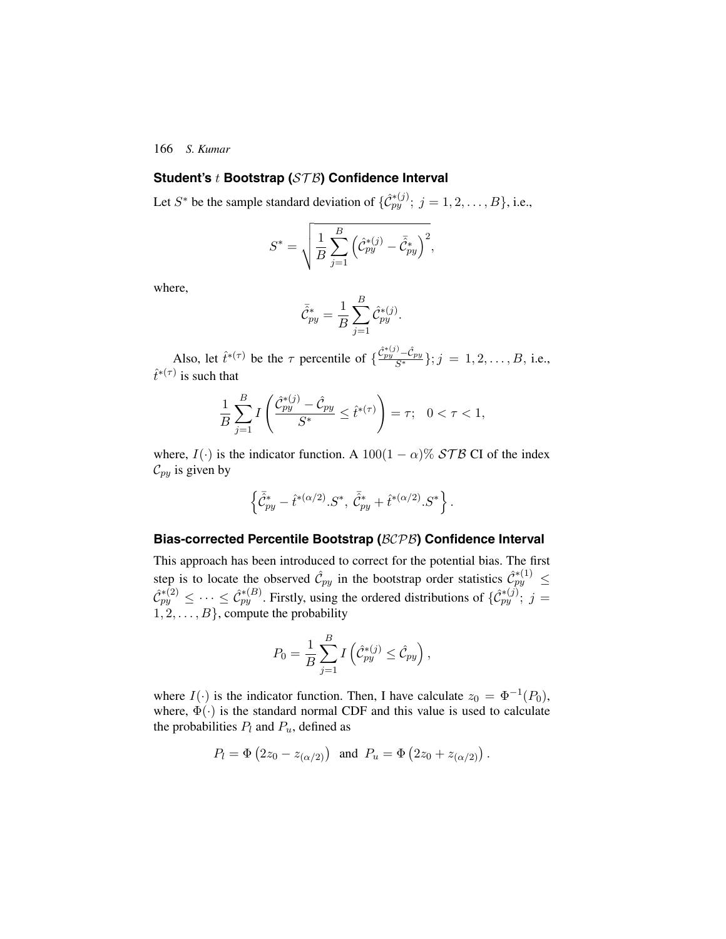# **Student's** t **Bootstrap (**ST B**) Confidence Interval**

Let  $S^*$  be the sample standard deviation of  $\{\hat{C}_{py}^{*(j)}; j = 1, 2, \ldots, B\}$ , i.e.,

$$
S^* = \sqrt{\frac{1}{B} \sum_{j=1}^B \left(\hat{C}_{py}^{*(j)} - \bar{\hat{C}}_{py}^*\right)^2},
$$

where,

$$
\bar{\hat{C}}_{py}^* = \frac{1}{B} \sum_{j=1}^{B} \hat{C}_{py}^{*(j)}.
$$

Also, let  $\hat{t}^{*(\tau)}$  be the  $\tau$  percentile of  $\{\frac{\hat{C}_{py}^{*(j)} - \hat{C}_{py}}{S^*}\}; j = 1, 2, \ldots, B$ , i.e.,  $\hat{t}^{*(\tau)}$  is such that

$$
\frac{1}{B} \sum_{j=1}^{B} I\left(\frac{\hat{C}_{py}^{*(j)} - \hat{C}_{py}}{S^*} \le \hat{t}^{*(\tau)}\right) = \tau; \quad 0 < \tau < 1,
$$

where,  $I(\cdot)$  is the indicator function. A 100(1 –  $\alpha$ )% STB CI of the index  $\mathcal{C}_{py}$  is given by

$$
\left\{ \bar{\hat{\mathcal{C}}}_{py}^* - \hat{t}^{*(\alpha/2)}.S^*,\ \bar{\hat{\mathcal{C}}}_{py}^* + \hat{t}^{*(\alpha/2)}.S^* \right\}.
$$

#### **Bias-corrected Percentile Bootstrap (**BCPB**) Confidence Interval**

This approach has been introduced to correct for the potential bias. The first step is to locate the observed  $\hat{C}_{py}$  in the bootstrap order statistics  $\hat{C}_{py}^{*(1)} \leq$  $\hat{C}_{py}^{*(2)} \leq \cdots \leq \hat{C}_{py}^{*(B)}$ . Firstly, using the ordered distributions of  $\{\hat{C}_{py}^{*(j)}; j =$  $1, 2, \ldots, B\}$ , compute the probability

$$
P_0 = \frac{1}{B} \sum_{j=1}^B I\left(\hat{\mathcal{C}}_{py}^{*(j)} \le \hat{\mathcal{C}}_{py}\right),\,
$$

where  $I(\cdot)$  is the indicator function. Then, I have calculate  $z_0 = \Phi^{-1}(P_0)$ , where,  $\Phi(\cdot)$  is the standard normal CDF and this value is used to calculate the probabilities  $P_l$  and  $P_u$ , defined as

$$
P_l = \Phi (2z_0 - z_{(\alpha/2)})
$$
 and  $P_u = \Phi (2z_0 + z_{(\alpha/2)})$ .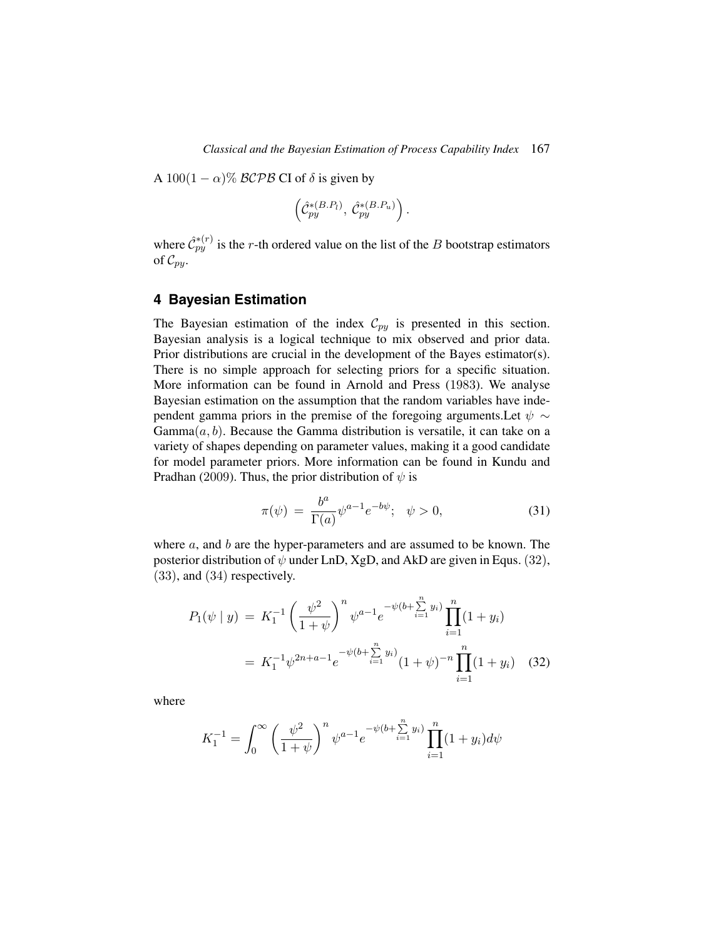A 100(1 –  $\alpha$ )% BCPB CI of  $\delta$  is given by

$$
\left(\hat{\mathcal{C}}_{py}^{*(B.P_l)},\,\hat{\mathcal{C}}_{py}^{*(B.P_u)}\right).
$$

where  $\hat{\mathcal{C}}_{py}^{*(r)}$  is the r-th ordered value on the list of the B bootstrap estimators of  $\mathcal{C}_{py}$ .

# **4 Bayesian Estimation**

The Bayesian estimation of the index  $C_{py}$  is presented in this section. Bayesian analysis is a logical technique to mix observed and prior data. Prior distributions are crucial in the development of the Bayes estimator(s). There is no simple approach for selecting priors for a specific situation. More information can be found in Arnold and Press (1983). We analyse Bayesian estimation on the assumption that the random variables have independent gamma priors in the premise of the foregoing arguments. Let  $\psi \sim$  $Gamma(a, b)$ . Because the Gamma distribution is versatile, it can take on a variety of shapes depending on parameter values, making it a good candidate for model parameter priors. More information can be found in Kundu and Pradhan (2009). Thus, the prior distribution of  $\psi$  is

$$
\pi(\psi) = \frac{b^a}{\Gamma(a)} \psi^{a-1} e^{-b\psi}; \quad \psi > 0,
$$
\n(31)

where  $a$ , and  $b$  are the hyper-parameters and are assumed to be known. The posterior distribution of  $\psi$  under LnD, XgD, and AkD are given in Equs. [\(32\)](#page-14-0), [\(33\)](#page-15-0), and [\(34\)](#page-15-1) respectively.

<span id="page-14-0"></span>
$$
P_1(\psi \mid y) = K_1^{-1} \left(\frac{\psi^2}{1+\psi}\right)^n \psi^{a-1} e^{-\psi(b+\sum_{i=1}^n y_i)} \prod_{i=1}^n (1+y_i)
$$
  
=  $K_1^{-1} \psi^{2n+a-1} e^{-\psi(b+\sum_{i=1}^n y_i)} (1+\psi)^{-n} \prod_{i=1}^n (1+y_i)$  (32)

where

$$
K_1^{-1} = \int_0^\infty \left(\frac{\psi^2}{1+\psi}\right)^n \psi^{a-1} e^{-\psi(b+\sum_{i=1}^n y_i)} \prod_{i=1}^n (1+y_i) d\psi
$$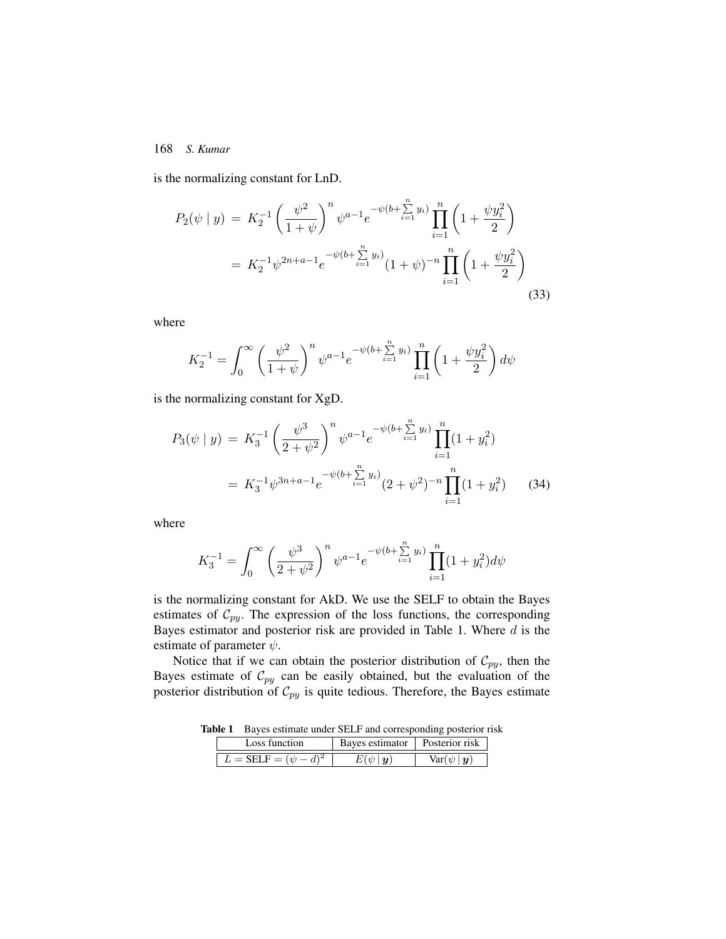is the normalizing constant for LnD.

<span id="page-15-0"></span>
$$
P_2(\psi \mid y) = K_2^{-1} \left(\frac{\psi^2}{1+\psi}\right)^n \psi^{a-1} e^{-\psi(b+\sum_{i=1}^n y_i)} \prod_{i=1}^n \left(1 + \frac{\psi y_i^2}{2}\right)
$$
  
=  $K_2^{-1} \psi^{2n+a-1} e^{-\psi(b+\sum_{i=1}^n y_i)} (1+\psi)^{-n} \prod_{i=1}^n \left(1 + \frac{\psi y_i^2}{2}\right)$  (33)

where

$$
K_2^{-1} = \int_0^\infty \left(\frac{\psi^2}{1+\psi}\right)^n \psi^{a-1} e^{-\psi(b+\sum_{i=1}^n y_i)} \prod_{i=1}^n \left(1+\frac{\psi y_i^2}{2}\right) d\psi
$$

is the normalizing constant for XgD.

<span id="page-15-1"></span>
$$
P_3(\psi \mid y) = K_3^{-1} \left(\frac{\psi^3}{2 + \psi^2}\right)^n \psi^{a-1} e^{-\psi(b + \sum_{i=1}^n y_i)} \prod_{i=1}^n (1 + y_i^2)
$$
  
=  $K_3^{-1} \psi^{3n+a-1} e^{-\psi(b + \sum_{i=1}^n y_i)} (2 + \psi^2)^{-n} \prod_{i=1}^n (1 + y_i^2)$  (34)

where

$$
K_3^{-1} = \int_0^\infty \left(\frac{\psi^3}{2+\psi^2}\right)^n \psi^{a-1} e^{-\psi(b+\sum\limits_{i=1}^n y_i)} \prod\limits_{i=1}^n (1+y_i^2) d\psi
$$

is the normalizing constant for AkD. We use the SELF to obtain the Bayes estimates of  $C_{py}$ . The expression of the loss functions, the corresponding Bayes estimator and posterior risk are provided in Table [1.](#page-15-2) Where  $d$  is the estimate of parameter  $\psi$ .

Notice that if we can obtain the posterior distribution of  $\mathcal{C}_{py}$ , then the Bayes estimate of  $\mathcal{C}_{py}$  can be easily obtained, but the evaluation of the posterior distribution of  $\mathcal{C}_{py}$  is quite tedious. Therefore, the Bayes estimate

**Table 1** Bayes estimate under SELF and corresponding posterior risk

<span id="page-15-2"></span>

| Loss function                    | Bayes estimator   Posterior risk |                          |
|----------------------------------|----------------------------------|--------------------------|
| $L = \text{SELF} = (\psi - d)^2$ | $E(\psi   \mathbf{u})$           | $Var(\psi   \mathbf{y})$ |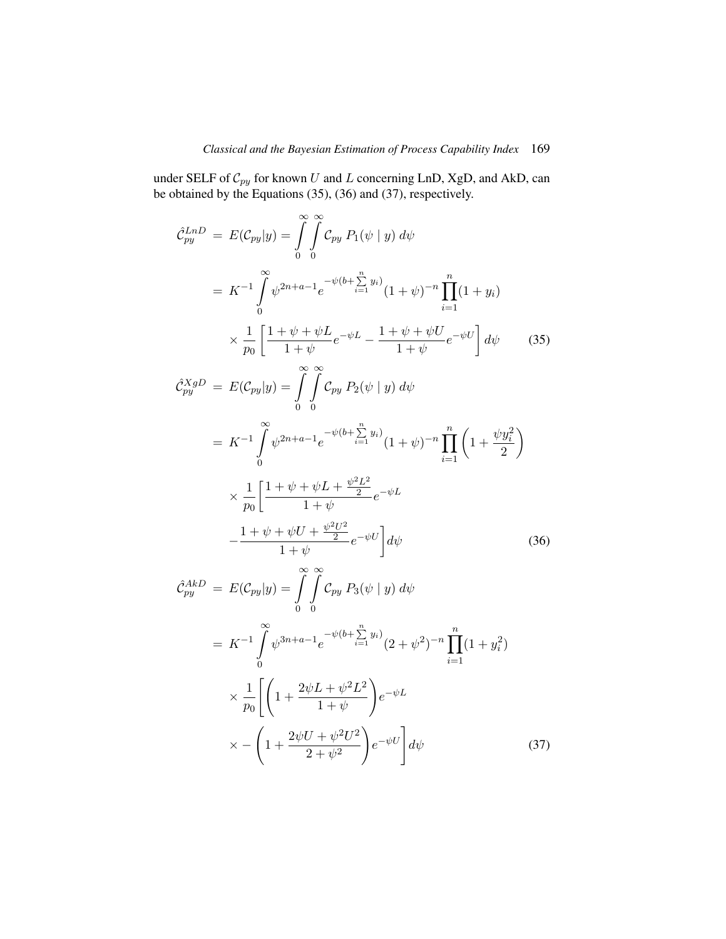under SELF of  $\mathcal{C}_{py}$  for known U and L concerning LnD, XgD, and AkD, can be obtained by the Equations [\(35\)](#page-16-0), [\(36\)](#page-16-0) and [\(37\)](#page-16-0), respectively.

<span id="page-16-0"></span>
$$
\hat{C}_{py}^{LnD} = E(C_{py}|y) = \int_{0}^{\infty} \int_{0}^{\infty} C_{py} P_1(\psi | y) d\psi
$$
  
\n
$$
= K^{-1} \int_{0}^{\infty} \psi^{2n+a-1} e^{-\psi(b+\sum_{i=1}^{n} y_i)} (1+\psi)^{-n} \prod_{i=1}^{n} (1+y_i)
$$
  
\n
$$
\times \frac{1}{p_0} \left[ \frac{1+\psi+\psi L}{1+\psi} e^{-\psi L} - \frac{1+\psi+\psi U}{1+\psi} e^{-\psi U} \right] d\psi \qquad (35)
$$
  
\n
$$
\hat{C}_{py}^{XgD} = E(C_{py}|y) = \int_{0}^{\infty} \int_{0}^{\infty} C_{py} P_2(\psi | y) d\psi
$$
  
\n
$$
= K^{-1} \int_{0}^{\infty} \psi^{2n+a-1} e^{-\psi(b+\sum_{i=1}^{n} y_i)} (1+\psi)^{-n} \prod_{i=1}^{n} \left(1+\frac{\psi y_i^2}{2}\right)
$$
  
\n
$$
\times \frac{1}{p_0} \left[ \frac{1+\psi+\psi L+\frac{\psi^2 L^2}{2}}{1+\psi} e^{-\psi L} - \frac{1+\psi+\psi U+\frac{\psi^2 U^2}{2}}{1+\psi} e^{-\psi U} \right] d\psi
$$
  
\n
$$
\hat{C}_{py}^{AkD} = E(C_{py}|y) = \int_{0}^{\infty} \int_{0}^{\infty} C_{py} P_3(\psi | y) d\psi
$$
  
\n(36)

$$
{}_{py}^{A\&D} = E(C_{py}|y) = \int_{0}^{\infty} \int_{0}^{y} C_{py} P_{3}(\psi | y) d\psi
$$
  
\n
$$
= K^{-1} \int_{0}^{\infty} \psi^{3n+a-1} e^{-\psi(b+\sum_{i=1}^{n} y_{i})} (2+\psi^{2})^{-n} \prod_{i=1}^{n} (1+y_{i}^{2})
$$
  
\n
$$
\times \frac{1}{p_{0}} \left[ \left( 1 + \frac{2\psi L + \psi^{2} L^{2}}{1+\psi} \right) e^{-\psi L} \right]
$$
  
\n
$$
\times - \left( 1 + \frac{2\psi U + \psi^{2} U^{2}}{2+\psi^{2}} \right) e^{-\psi U} \right] d\psi
$$
(37)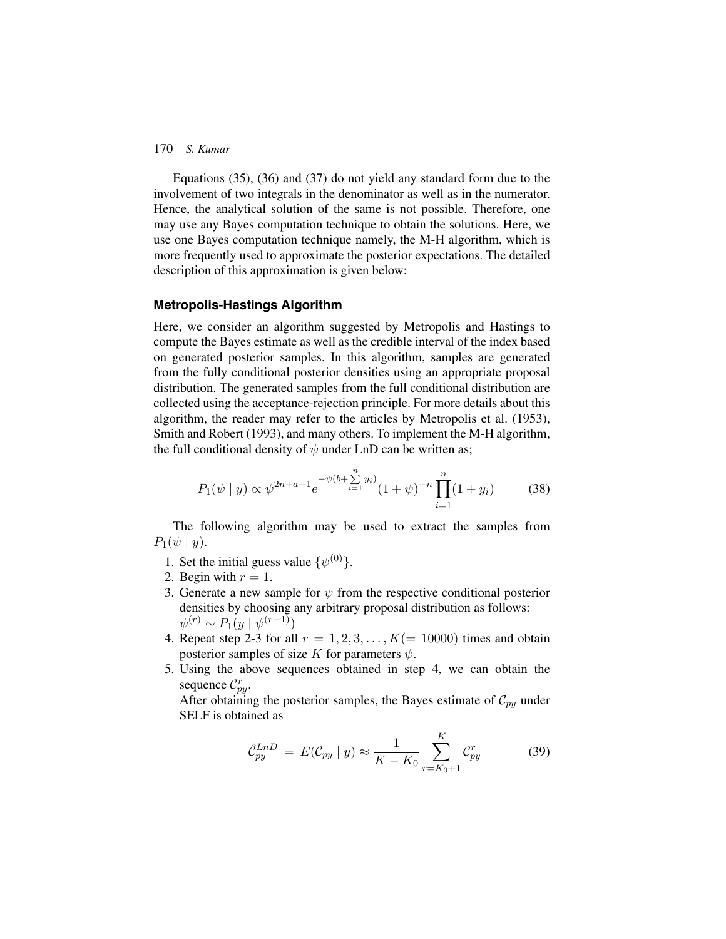Equations [\(35\)](#page-16-0), [\(36\)](#page-16-0) and [\(37\)](#page-16-0) do not yield any standard form due to the involvement of two integrals in the denominator as well as in the numerator. Hence, the analytical solution of the same is not possible. Therefore, one may use any Bayes computation technique to obtain the solutions. Here, we use one Bayes computation technique namely, the M-H algorithm, which is more frequently used to approximate the posterior expectations. The detailed description of this approximation is given below:

#### **Metropolis-Hastings Algorithm**

Here, we consider an algorithm suggested by Metropolis and Hastings to compute the Bayes estimate as well as the credible interval of the index based on generated posterior samples. In this algorithm, samples are generated from the fully conditional posterior densities using an appropriate proposal distribution. The generated samples from the full conditional distribution are collected using the acceptance-rejection principle. For more details about this algorithm, the reader may refer to the articles by Metropolis et al. (1953), Smith and Robert (1993), and many others. To implement the M-H algorithm, the full conditional density of  $\psi$  under LnD can be written as;

$$
P_1(\psi \mid y) \propto \psi^{2n+a-1} e^{-\psi(b+\sum_{i=1}^n y_i)} (1+\psi)^{-n} \prod_{i=1}^n (1+y_i)
$$
 (38)

The following algorithm may be used to extract the samples from  $P_1(\psi | y)$ .

- 1. Set the initial guess value  $\{\psi^{(0)}\}.$
- 2. Begin with  $r = 1$ .
- 3. Generate a new sample for  $\psi$  from the respective conditional posterior densities by choosing any arbitrary proposal distribution as follows:  $\psi^{(r)} \sim P_1(y \mid \psi^{(r-1)})$
- 4. Repeat step 2-3 for all  $r = 1, 2, 3, ..., K (= 10000)$  times and obtain posterior samples of size K for parameters  $\psi$ .
- 5. Using the above sequences obtained in step 4, we can obtain the sequence  $\mathcal{C}_{py}^r$ .

After obtaining the posterior samples, the Bayes estimate of  $\mathcal{C}_{py}$  under SELF is obtained as

$$
\hat{C}_{py}^{LnD} = E(C_{py} | y) \approx \frac{1}{K - K_0} \sum_{r = K_0 + 1}^{K} C_{py}^{r}
$$
 (39)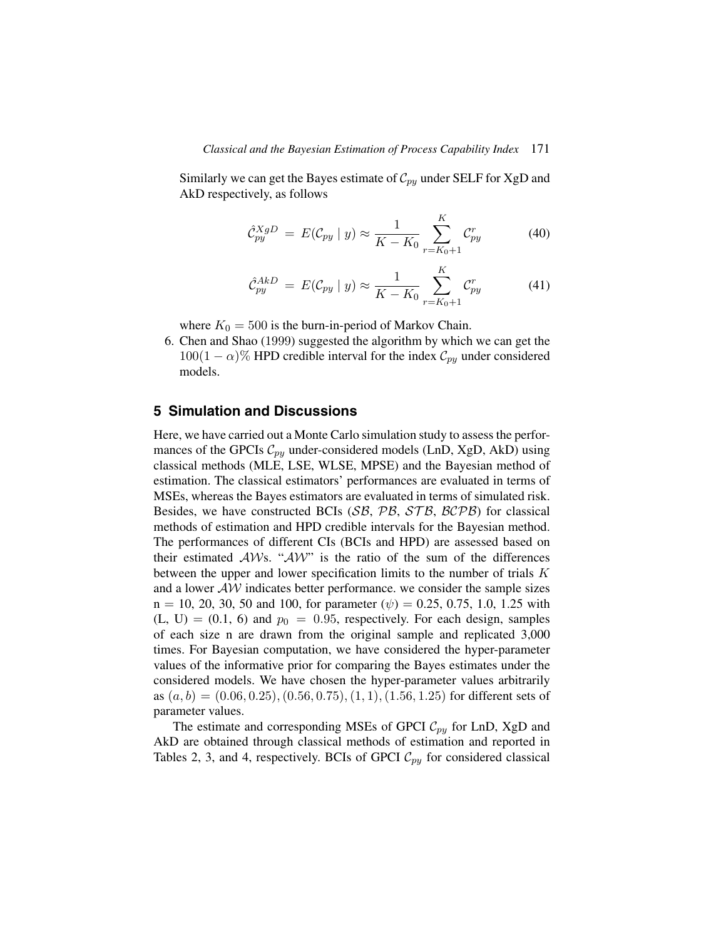Similarly we can get the Bayes estimate of  $\mathcal{C}_{py}$  under SELF for XgD and AkD respectively, as follows

$$
\hat{\mathcal{C}}_{py}^{XgD} = E(\mathcal{C}_{py} \mid y) \approx \frac{1}{K - K_0} \sum_{r = K_0 + 1}^{K} \mathcal{C}_{py}^{r} \tag{40}
$$

$$
\hat{\mathcal{C}}_{py}^{AkD} = E(\mathcal{C}_{py} \mid y) \approx \frac{1}{K - K_0} \sum_{r = K_0 + 1}^{K} \mathcal{C}_{py}^{r} \tag{41}
$$

where  $K_0 = 500$  is the burn-in-period of Markov Chain.

6. Chen and Shao (1999) suggested the algorithm by which we can get the  $100(1 - \alpha)$ % HPD credible interval for the index  $\mathcal{C}_{py}$  under considered models.

# **5 Simulation and Discussions**

Here, we have carried out a Monte Carlo simulation study to assess the performances of the GPCIs  $\mathcal{C}_{py}$  under-considered models (LnD, XgD, AkD) using classical methods (MLE, LSE, WLSE, MPSE) and the Bayesian method of estimation. The classical estimators' performances are evaluated in terms of MSEs, whereas the Bayes estimators are evaluated in terms of simulated risk. Besides, we have constructed BCIs  $(S\mathcal{B}, \mathcal{P}\mathcal{B}, \mathcal{ST}\mathcal{B}, \mathcal{B}\mathcal{CP}\mathcal{B})$  for classical methods of estimation and HPD credible intervals for the Bayesian method. The performances of different CIs (BCIs and HPD) are assessed based on their estimated  $\mathcal{AWs}$ . " $\mathcal{AW}$ " is the ratio of the sum of the differences between the upper and lower specification limits to the number of trials K and a lower  $\mathcal{AW}$  indicates better performance. we consider the sample sizes  $n = 10, 20, 30, 50$  and 100, for parameter ( $\psi$ ) = 0.25, 0.75, 1.0, 1.25 with  $(L, U) = (0.1, 6)$  and  $p_0 = 0.95$ , respectively. For each design, samples of each size n are drawn from the original sample and replicated 3,000 times. For Bayesian computation, we have considered the hyper-parameter values of the informative prior for comparing the Bayes estimates under the considered models. We have chosen the hyper-parameter values arbitrarily as  $(a, b) = (0.06, 0.25), (0.56, 0.75), (1, 1), (1.56, 1.25)$  for different sets of parameter values.

The estimate and corresponding MSEs of GPCI  $\mathcal{C}_{py}$  for LnD, XgD and AkD are obtained through classical methods of estimation and reported in Tables [2,](#page-19-0) [3,](#page-20-0) and [4,](#page-21-0) respectively. BCIs of GPCI  $\mathcal{C}_{p\gamma}$  for considered classical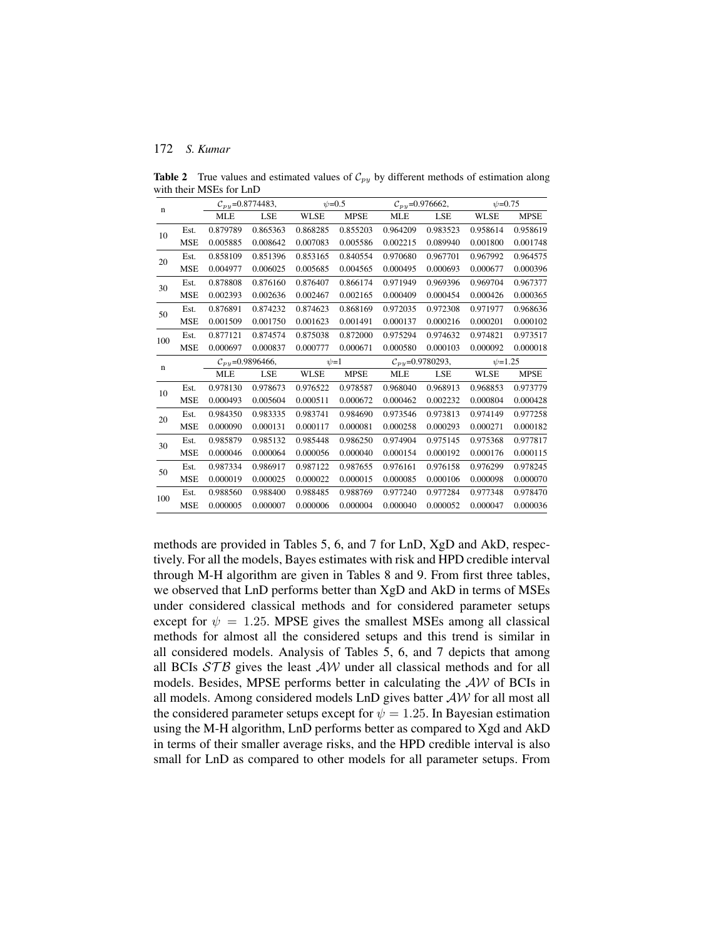n  $C_{py}$ =0.8774483,  $\psi$ =0.5  $C_{py}$ =0.976662,  $\psi$ =0.75 MLE LSE WLSE MPSE MLE LSE WLSE MPSE 10 Est. 0.879789 0.865363 0.868285 0.855203 0.964209 0.983523 0.958614 0.958619 MSE 0.005885 0.008642 0.007083 0.005586 0.002215 0.089940 0.001800 0.001748 20 Est. 0.858109 0.851396 0.853165 0.840554 0.970680 0.967701 0.967992 0.964575 MSE 0.004977 0.006025 0.005685 0.004565 0.000495 0.000693 0.000677 0.000396 30 Est. 0.878808 0.876160 0.876407 0.866174 0.971949 0.969396 0.969704 0.967377 MSE 0.002393 0.002636 0.002467 0.002165 0.000409 0.000454 0.000426 0.000365 50 Est. 0.876891 0.874232 0.874623 0.868169 0.972035 0.972308 0.971977 0.968636 MSE 0.001509 0.001750 0.001623 0.001491 0.000137 0.000216 0.000201 0.000102 100 Est. 0.877121 0.874574 0.875038 0.872000 0.975294 0.974632 0.974821 0.973517 MSE 0.000697 0.000837 0.000777 0.000671 0.000580 0.000103 0.000092 0.000018 n  $C_{py}=0.9896466,$   $\psi=1$   $C_{py}=0.9780293,$   $\psi=1.25$ MLE LSE WLSE MPSE MLE LSE WLSE MPSE 10 Est. 0.978130 0.978673 0.976522 0.978587 0.968040 0.968913 0.968853 0.973779 MSE 0.000493 0.005604 0.000511 0.000672 0.000462 0.002232 0.000804 0.000428 20 Est. 0.984350 0.983335 0.983741 0.984690 0.973546 0.973813 0.974149 0.977258 MSE 0.000090 0.000131 0.000117 0.000081 0.000258 0.000293 0.000271 0.000182 30 Est. 0.985879 0.985132 0.985448 0.986250 0.974904 0.975145 0.975368 0.977817 MSE 0.000046 0.000064 0.000056 0.000040 0.000154 0.000192 0.000176 0.000115 50 Est. 0.987334 0.986917 0.987122 0.987655 0.976161 0.976158 0.976299 0.978245 MSE 0.000019 0.000025 0.000022 0.000015 0.000085 0.000106 0.000098 0.000070 100 Est. 0.988560 0.988400 0.988485 0.988769 0.977240 0.977284 0.977348 0.978470 MSE 0.000005 0.000007 0.000006 0.000004 0.000040 0.000052 0.000047 0.000036

<span id="page-19-0"></span>**Table 2** True values and estimated values of  $C_{py}$  by different methods of estimation along with their MSEs for LnD

methods are provided in Tables [5,](#page-22-0) [6,](#page-23-0) and [7](#page-24-0) for LnD, XgD and AkD, respectively. For all the models, Bayes estimates with risk and HPD credible interval through M-H algorithm are given in Tables [8](#page-25-0) and [9.](#page-25-1) From first three tables, we observed that LnD performs better than XgD and AkD in terms of MSEs under considered classical methods and for considered parameter setups except for  $\psi = 1.25$ . MPSE gives the smallest MSEs among all classical methods for almost all the considered setups and this trend is similar in all considered models. Analysis of Tables [5,](#page-22-0) [6,](#page-23-0) and [7](#page-24-0) depicts that among all BCIs  $STB$  gives the least  $AW$  under all classical methods and for all models. Besides, MPSE performs better in calculating the  $\mathcal{AW}$  of BCIs in all models. Among considered models LnD gives batter AW for all most all the considered parameter setups except for  $\psi = 1.25$ . In Bayesian estimation using the M-H algorithm, LnD performs better as compared to Xgd and AkD in terms of their smaller average risks, and the HPD credible interval is also small for LnD as compared to other models for all parameter setups. From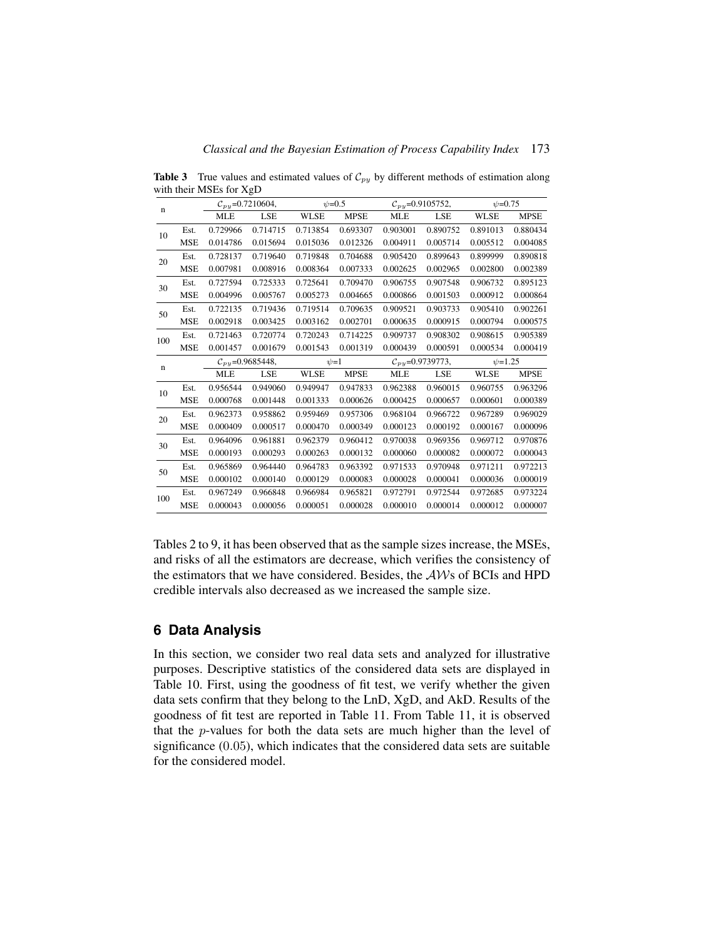<span id="page-20-0"></span>**Table 3** True values and estimated values of  $C_{py}$  by different methods of estimation along with their MSEs for XgD

|             |            |            | $C_{py}$ =0.7210604, |             | $v = 0.5$   |            | $C_{py}$ =0.9105752, | $v = 0.75$  |             |
|-------------|------------|------------|----------------------|-------------|-------------|------------|----------------------|-------------|-------------|
| n           |            | <b>MLE</b> | <b>LSE</b>           | <b>WLSE</b> | <b>MPSE</b> | <b>MLE</b> | <b>LSE</b>           | <b>WLSE</b> | <b>MPSE</b> |
| 10          | Est.       | 0.729966   | 0.714715             | 0.713854    | 0.693307    | 0.903001   | 0.890752             | 0.891013    | 0.880434    |
|             | <b>MSE</b> | 0.014786   | 0.015694             | 0.015036    | 0.012326    | 0.004911   | 0.005714             | 0.005512    | 0.004085    |
| 20          | Est.       | 0.728137   | 0.719640             | 0.719848    | 0.704688    | 0.905420   | 0.899643             | 0.899999    | 0.890818    |
|             | <b>MSE</b> | 0.007981   | 0.008916             | 0.008364    | 0.007333    | 0.002625   | 0.002965             | 0.002800    | 0.002389    |
| 30          | Est.       | 0.727594   | 0.725333             | 0.725641    | 0.709470    | 0.906755   | 0.907548             | 0.906732    | 0.895123    |
|             | <b>MSE</b> | 0.004996   | 0.005767             | 0.005273    | 0.004665    | 0.000866   | 0.001503             | 0.000912    | 0.000864    |
| 50          | Est.       | 0.722135   | 0.719436             | 0.719514    | 0.709635    | 0.909521   | 0.903733             | 0.905410    | 0.902261    |
|             | <b>MSE</b> | 0.002918   | 0.003425             | 0.003162    | 0.002701    | 0.000635   | 0.000915             | 0.000794    | 0.000575    |
| 100         | Est.       | 0.721463   | 0.720774             | 0.720243    | 0.714225    | 0.909737   | 0.908302             | 0.908615    | 0.905389    |
|             | <b>MSE</b> | 0.001457   | 0.001679             | 0.001543    | 0.001319    | 0.000439   | 0.000591             | 0.000534    | 0.000419    |
| $\mathbf n$ |            |            | $C_{py}$ =0.9685448, |             | $\psi=1$    |            | $C_{py}$ =0.9739773, | $v=1.25$    |             |
|             |            | <b>MLE</b> | <b>LSE</b>           | <b>WLSE</b> | <b>MPSE</b> | <b>MLE</b> | <b>LSE</b>           | <b>WLSE</b> | <b>MPSE</b> |
| 10          | Est.       | 0.956544   | 0.949060             | 0.949947    | 0.947833    | 0.962388   | 0.960015             | 0.960755    | 0.963296    |
|             | <b>MSE</b> | 0.000768   | 0.001448             | 0.001333    | 0.000626    | 0.000425   | 0.000657             | 0.000601    | 0.000389    |
| 20          | Est.       | 0.962373   | 0.958862             | 0.959469    | 0.957306    | 0.968104   | 0.966722             | 0.967289    | 0.969029    |
|             | <b>MSE</b> | 0.000409   | 0.000517             | 0.000470    | 0.000349    | 0.000123   | 0.000192             | 0.000167    | 0.000096    |
| 30          | Est.       | 0.964096   | 0.961881             | 0.962379    | 0.960412    | 0.970038   | 0.969356             | 0.969712    | 0.970876    |
|             | <b>MSE</b> | 0.000193   | 0.000293             | 0.000263    | 0.000132    | 0.000060   | 0.000082             | 0.000072    | 0.000043    |
| 50          | Est.       | 0.965869   | 0.964440             | 0.964783    | 0.963392    | 0.971533   | 0.970948             | 0.971211    | 0.972213    |
|             | <b>MSE</b> | 0.000102   | 0.000140             | 0.000129    | 0.000083    | 0.000028   | 0.000041             | 0.000036    | 0.000019    |
| 100         | Est.       | 0.967249   | 0.966848             | 0.966984    | 0.965821    | 0.972791   | 0.972544             | 0.972685    | 0.973224    |
|             | <b>MSE</b> | 0.000043   | 0.000056             | 0.000051    | 0.000028    | 0.000010   | 0.000014             | 0.000012    | 0.000007    |

Tables [2](#page-19-0) to [9,](#page-25-1) it has been observed that as the sample sizes increase, the MSEs, and risks of all the estimators are decrease, which verifies the consistency of the estimators that we have considered. Besides, the AWs of BCIs and HPD credible intervals also decreased as we increased the sample size.

# **6 Data Analysis**

In this section, we consider two real data sets and analyzed for illustrative purposes. Descriptive statistics of the considered data sets are displayed in Table [10.](#page-26-0) First, using the goodness of fit test, we verify whether the given data sets confirm that they belong to the LnD, XgD, and AkD. Results of the goodness of fit test are reported in Table [11.](#page-26-1) From Table [11,](#page-26-1) it is observed that the p-values for both the data sets are much higher than the level of significance (0.05), which indicates that the considered data sets are suitable for the considered model.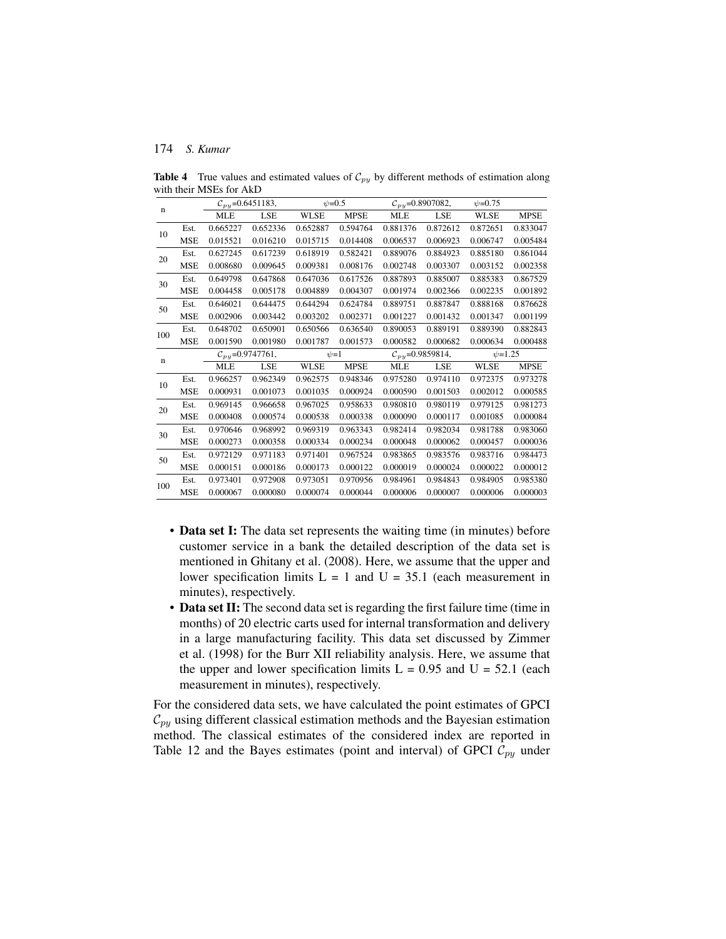n  $C_{py}$ =0.6451183,  $\psi$ =0.5  $C_{py}$ =0.8907082,  $\psi$ =0.75 MLE LSE WLSE MPSE MLE LSE WLSE MPSE <sup>10</sup> Est. 0.665227 0.652336 0.652887 0.594764 0.881376 0.872612 0.872651 0.833047 MSE 0.015521 0.016210 0.015715 0.014408 0.006537 0.006923 0.006747 0.005484 <sup>20</sup> Est. 0.627245 0.617239 0.618919 0.582421 0.889076 0.884923 0.885180 0.861044 MSE 0.008680 0.009645 0.009381 0.008176 0.002748 0.003307 0.003152 0.002358 <sup>30</sup> Est. 0.649798 0.647868 0.647036 0.617526 0.887893 0.885007 0.885383 0.867529 MSE 0.004458 0.005178 0.004889 0.004307 0.001974 0.002366 0.002235 0.001892 <sup>50</sup> Est. 0.646021 0.644475 0.644294 0.624784 0.889751 0.887847 0.888168 0.876628 MSE 0.002906 0.003442 0.003202 0.002371 0.001227 0.001432 0.001347 0.001199 <sup>100</sup> Est. 0.648702 0.650901 0.650566 0.636540 0.890053 0.889191 0.889390 0.882843 MSE 0.001590 0.001980 0.001787 0.001573 0.000582 0.000682 0.000634 0.000488 n  $C_{py}=0.9747761,$   $\psi=1$   $C_{py}=0.9859814,$   $\psi=1.25$ MLE LSE WLSE MPSE MLE LSE WLSE MPSE <sup>10</sup> Est. 0.966257 0.962349 0.962575 0.948346 0.975280 0.974110 0.972375 0.973278 MSE 0.000931 0.001073 0.001035 0.000924 0.000590 0.001503 0.002012 0.000585 <sup>20</sup> Est. 0.969145 0.966658 0.967025 0.958633 0.980810 0.980119 0.979125 0.981273 MSE 0.000408 0.000574 0.000538 0.000338 0.000090 0.000117 0.001085 0.000084 <sup>30</sup> Est. 0.970646 0.968992 0.969319 0.963343 0.982414 0.982034 0.981788 0.983060 MSE 0.000273 0.000358 0.000334 0.000234 0.000048 0.000062 0.000457 0.000036 <sup>50</sup> Est. 0.972129 0.971183 0.971401 0.967524 0.983865 0.983576 0.983716 0.984473 MSE 0.000151 0.000186 0.000173 0.000122 0.000019 0.000024 0.000022 0.000012 <sup>100</sup> Est. 0.973401 0.972908 0.973051 0.970956 0.984961 0.984843 0.984905 0.985380 MSE 0.000067 0.000080 0.000074 0.000044 0.000006 0.000007 0.000006 0.000003

<span id="page-21-0"></span>**Table 4** True values and estimated values of  $C_{py}$  by different methods of estimation along with their MSEs for AkD

- **Data set I:** The data set represents the waiting time (in minutes) before customer service in a bank the detailed description of the data set is mentioned in Ghitany et al. (2008). Here, we assume that the upper and lower specification limits  $L = 1$  and  $U = 35.1$  (each measurement in minutes), respectively.
- **Data set II:** The second data set is regarding the first failure time (time in months) of 20 electric carts used for internal transformation and delivery in a large manufacturing facility. This data set discussed by Zimmer et al. (1998) for the Burr XII reliability analysis. Here, we assume that the upper and lower specification limits  $L = 0.95$  and  $U = 52.1$  (each measurement in minutes), respectively.

For the considered data sets, we have calculated the point estimates of GPCI  $\mathcal{C}_{p\gamma}$  using different classical estimation methods and the Bayesian estimation method. The classical estimates of the considered index are reported in Table [12](#page-26-2) and the Bayes estimates (point and interval) of GPCI  $\mathcal{C}_{py}$  under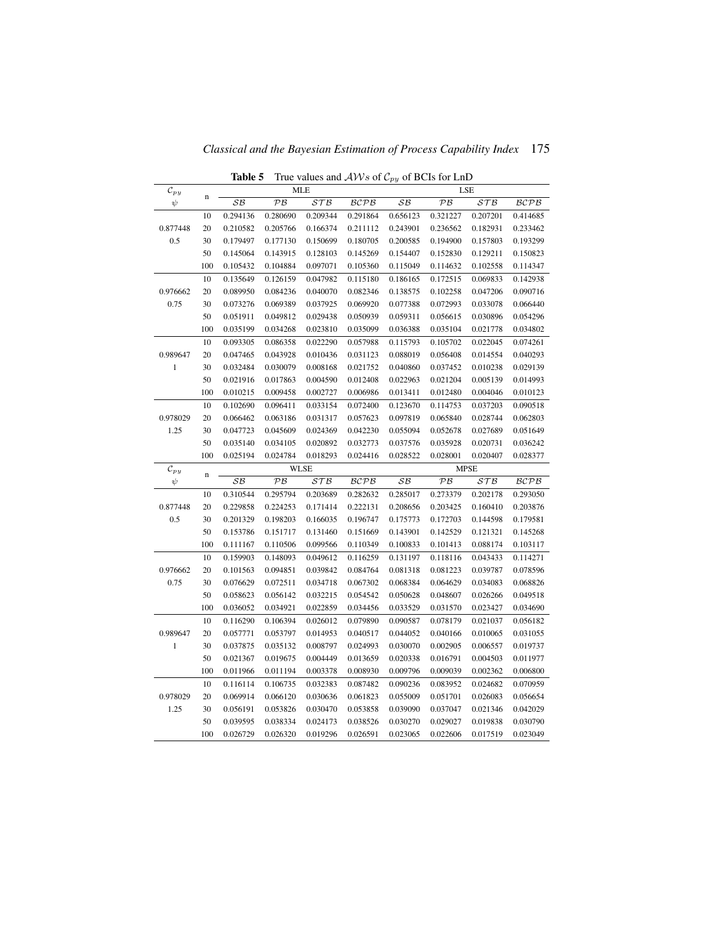*Classical and the Bayesian Estimation of Process Capability Index* 175

|                    |             | таше э                   |                          |             |          | True values and $AIVS$ of $C_{py}$ of DCTs for Emp |                          |             |          |  |
|--------------------|-------------|--------------------------|--------------------------|-------------|----------|----------------------------------------------------|--------------------------|-------------|----------|--|
| $\mathcal{C}_{py}$ |             |                          |                          | MLE         |          | LSE                                                |                          |             |          |  |
| $\psi$             | $\mathbf n$ | $\mathcal{S}\mathcal{B}$ | $P$ $B$                  | STB         | BCPB     | $\mathcal{S}\mathcal{B}$                           | $P$ $B$                  | STB         | BCPB     |  |
|                    | 10          | 0.294136                 | 0.280690                 | 0.209344    | 0.291864 | 0.656123                                           | 0.321227                 | 0.207201    | 0.414685 |  |
| 0.877448           | 20          | 0.210582                 | 0.205766                 | 0.166374    | 0.211112 | 0.243901                                           | 0.236562                 | 0.182931    | 0.233462 |  |
| 0.5                | 30          | 0.179497                 | 0.177130                 | 0.150699    | 0.180705 | 0.200585                                           | 0.194900                 | 0.157803    | 0.193299 |  |
|                    | 50          | 0.145064                 | 0.143915                 | 0.128103    | 0.145269 | 0.154407                                           | 0.152830                 | 0.129211    | 0.150823 |  |
|                    | 100         | 0.105432                 | 0.104884                 | 0.097071    | 0.105360 | 0.115049                                           | 0.114632                 | 0.102558    | 0.114347 |  |
|                    | 10          | 0.135649                 | 0.126159                 | 0.047982    | 0.115180 | 0.186165                                           | 0.172515                 | 0.069833    | 0.142938 |  |
| 0.976662           | 20          | 0.089950                 | 0.084236                 | 0.040070    | 0.082346 | 0.138575                                           | 0.102258                 | 0.047206    | 0.090716 |  |
| 0.75               | 30          | 0.073276                 | 0.069389                 | 0.037925    | 0.069920 | 0.077388                                           | 0.072993                 | 0.033078    | 0.066440 |  |
|                    | 50          | 0.051911                 | 0.049812                 | 0.029438    | 0.050939 | 0.059311                                           | 0.056615                 | 0.030896    | 0.054296 |  |
|                    | 100         | 0.035199                 | 0.034268                 | 0.023810    | 0.035099 | 0.036388                                           | 0.035104                 | 0.021778    | 0.034802 |  |
|                    | 10          | 0.093305                 | 0.086358                 | 0.022290    | 0.057988 | 0.115793                                           | 0.105702                 | 0.022045    | 0.074261 |  |
| 0.989647           | 20          | 0.047465                 | 0.043928                 | 0.010436    | 0.031123 | 0.088019                                           | 0.056408                 | 0.014554    | 0.040293 |  |
| $\mathbf{1}$       | 30          | 0.032484                 | 0.030079                 | 0.008168    | 0.021752 | 0.040860                                           | 0.037452                 | 0.010238    | 0.029139 |  |
|                    | 50          | 0.021916                 | 0.017863                 | 0.004590    | 0.012408 | 0.022963                                           | 0.021204                 | 0.005139    | 0.014993 |  |
|                    | 100         | 0.010215                 | 0.009458                 | 0.002727    | 0.006986 | 0.013411                                           | 0.012480                 | 0.004046    | 0.010123 |  |
|                    | 10          | 0.102690                 | 0.096411                 | 0.033154    | 0.072400 | 0.123670                                           | 0.114753                 | 0.037203    | 0.090518 |  |
| 0.978029           | 20          | 0.066462                 | 0.063186                 | 0.031317    | 0.057623 | 0.097819                                           | 0.065840                 | 0.028744    | 0.062803 |  |
| 1.25               | 30          | 0.047723                 | 0.045609                 | 0.024369    | 0.042230 | 0.055094                                           | 0.052678                 | 0.027689    | 0.051649 |  |
|                    | 50          | 0.035140                 | 0.034105                 | 0.020892    | 0.032773 | 0.037576                                           | 0.035928                 | 0.020731    | 0.036242 |  |
|                    | 100         | 0.025194                 | 0.024784                 | 0.018293    | 0.024416 | 0.028522                                           | 0.028001                 | 0.020407    | 0.028377 |  |
| $\mathcal{C}_{py}$ | $\mathbf n$ |                          |                          | <b>WLSE</b> |          |                                                    |                          | <b>MPSE</b> |          |  |
| $\psi$             |             | $\mathcal{S}\mathcal{B}$ | $\mathcal{P}\mathcal{B}$ | STB         | BCPB     | $\mathcal{S}\mathcal{B}$                           | $\mathcal{P}\mathcal{B}$ | STB         | BCPB     |  |
|                    | 10          | 0.310544                 | 0.295794                 | 0.203689    | 0.282632 | 0.285017                                           | 0.273379                 | 0.202178    | 0.293050 |  |
| 0.877448           | 20          | 0.229858                 | 0.224253                 | 0.171414    | 0.222131 | 0.208656                                           | 0.203425                 | 0.160410    | 0.203876 |  |
| 0.5                | 30          | 0.201329                 | 0.198203                 | 0.166035    | 0.196747 | 0.175773                                           | 0.172703                 | 0.144598    | 0.179581 |  |
|                    | 50          | 0.153786                 | 0.151717                 | 0.131460    | 0.151669 | 0.143901                                           | 0.142529                 | 0.121321    | 0.145268 |  |
|                    | 100         | 0.111167                 | 0.110506                 | 0.099566    | 0.110349 | 0.100833                                           | 0.101413                 | 0.088174    | 0.103117 |  |
|                    | 10          | 0.159903                 | 0.148093                 | 0.049612    | 0.116259 | 0.131197                                           | 0.118116                 | 0.043433    | 0.114271 |  |
| 0.976662           | 20          | 0.101563                 | 0.094851                 | 0.039842    | 0.084764 | 0.081318                                           | 0.081223                 | 0.039787    | 0.078596 |  |
| 0.75               | 30          | 0.076629                 | 0.072511                 | 0.034718    | 0.067302 | 0.068384                                           | 0.064629                 | 0.034083    | 0.068826 |  |
|                    | 50          | 0.058623                 | 0.056142                 | 0.032215    | 0.054542 | 0.050628                                           | 0.048607                 | 0.026266    | 0.049518 |  |
|                    | 100         | 0.036052                 | 0.034921                 | 0.022859    | 0.034456 | 0.033529                                           | 0.031570                 | 0.023427    | 0.034690 |  |
|                    | 10          | 0.116290                 | 0.106394                 | 0.026012    | 0.079890 | 0.090587                                           | 0.078179                 | 0.021037    | 0.056182 |  |
| 0.989647           | 20          | 0.057771                 | 0.053797                 | 0.014953    | 0.040517 | 0.044052                                           | 0.040166                 | 0.010065    | 0.031055 |  |
| $\mathbf{1}$       | 30          | 0.037875                 | 0.035132                 | 0.008797    | 0.024993 | 0.030070                                           | 0.002905                 | 0.006557    | 0.019737 |  |
|                    | 50          | 0.021367                 | 0.019675                 | 0.004449    | 0.013659 | 0.020338                                           | 0.016791                 | 0.004503    | 0.011977 |  |
|                    | 100         | 0.011966                 | 0.011194                 | 0.003378    | 0.008930 | 0.009796                                           | 0.009039                 | 0.002362    | 0.006800 |  |
|                    | 10          | 0.116114                 | 0.106735                 | 0.032383    | 0.087482 | 0.090236                                           | 0.083952                 | 0.024682    | 0.070959 |  |
| 0.978029           | 20          | 0.069914                 | 0.066120                 | 0.030636    | 0.061823 | 0.055009                                           | 0.051701                 | 0.026083    | 0.056654 |  |
| 1.25               | 30          | 0.056191                 | 0.053826                 | 0.030470    | 0.053858 | 0.039090                                           | 0.037047                 | 0.021346    | 0.042029 |  |
|                    | 50          | 0.039595                 | 0.038334                 | 0.024173    | 0.038526 | 0.030270                                           | 0.029027                 | 0.019838    | 0.030790 |  |
|                    | 100         | 0.026729                 | 0.026320                 | 0.019296    | 0.026591 | 0.023065                                           | 0.022606                 | 0.017519    | 0.023049 |  |

<span id="page-22-0"></span>**Table 5** True values and  $\mathcal{AWs}$  of  $\mathcal{C}_{py}$  of BCIs for LnD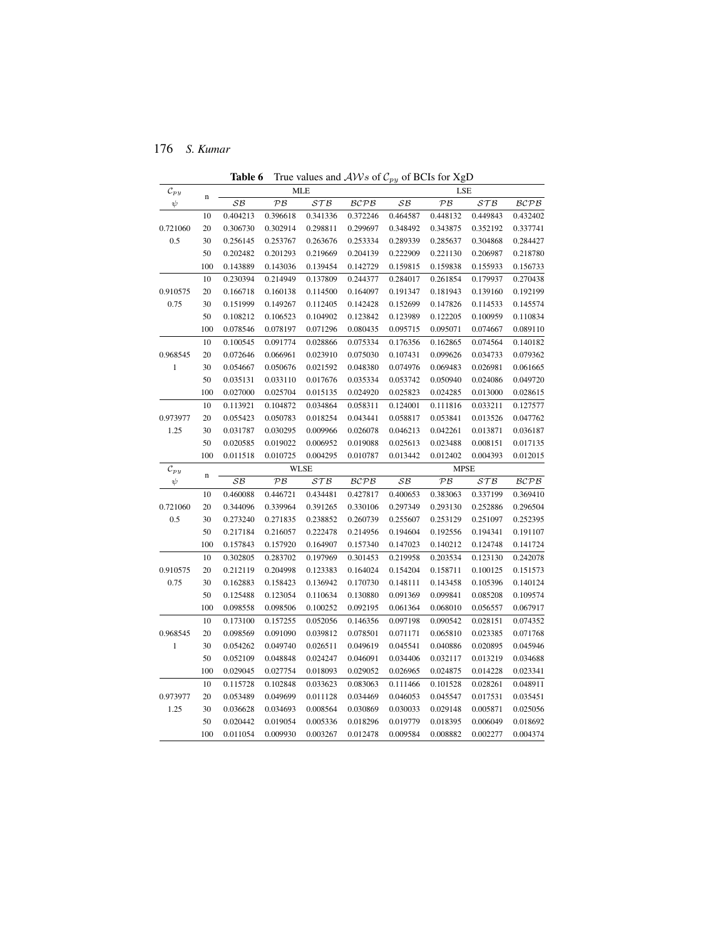| $\mathcal{C}_{py}$ | n           |                          |          | <b>MLE</b>  |          |                          | LSE                      |          |          |
|--------------------|-------------|--------------------------|----------|-------------|----------|--------------------------|--------------------------|----------|----------|
| $\psi$             |             | $\mathcal{S}\mathcal{B}$ | $P$ $B$  | STB         | BCPB     | $\mathcal{S}\mathcal{B}$ | $\mathcal{P}\mathcal{B}$ | STB      | BCPB     |
|                    | 10          | 0.404213                 | 0.396618 | 0.341336    | 0.372246 | 0.464587                 | 0.448132                 | 0.449843 | 0.432402 |
| 0.721060           | 20          | 0.306730                 | 0.302914 | 0.298811    | 0.299697 | 0.348492                 | 0.343875                 | 0.352192 | 0.337741 |
| 0.5                | 30          | 0.256145                 | 0.253767 | 0.263676    | 0.253334 | 0.289339                 | 0.285637                 | 0.304868 | 0.284427 |
|                    | 50          | 0.202482                 | 0.201293 | 0.219669    | 0.204139 | 0.222909                 | 0.221130                 | 0.206987 | 0.218780 |
|                    | 100         | 0.143889                 | 0.143036 | 0.139454    | 0.142729 | 0.159815                 | 0.159838                 | 0.155933 | 0.156733 |
|                    | 10          | 0.230394                 | 0.214949 | 0.137809    | 0.244377 | 0.284017                 | 0.261854                 | 0.179937 | 0.270438 |
| 0.910575           | 20          | 0.166718                 | 0.160138 | 0.114500    | 0.164097 | 0.191347                 | 0.181943                 | 0.139160 | 0.192199 |
| 0.75               | 30          | 0.151999                 | 0.149267 | 0.112405    | 0.142428 | 0.152699                 | 0.147826                 | 0.114533 | 0.145574 |
|                    | 50          | 0.108212                 | 0.106523 | 0.104902    | 0.123842 | 0.123989                 | 0.122205                 | 0.100959 | 0.110834 |
|                    | 100         | 0.078546                 | 0.078197 | 0.071296    | 0.080435 | 0.095715                 | 0.095071                 | 0.074667 | 0.089110 |
|                    | 10          | 0.100545                 | 0.091774 | 0.028866    | 0.075334 | 0.176356                 | 0.162865                 | 0.074564 | 0.140182 |
| 0.968545           | 20          | 0.072646                 | 0.066961 | 0.023910    | 0.075030 | 0.107431                 | 0.099626                 | 0.034733 | 0.079362 |
| $\mathbf{1}$       | 30          | 0.054667                 | 0.050676 | 0.021592    | 0.048380 | 0.074976                 | 0.069483                 | 0.026981 | 0.061665 |
|                    | 50          | 0.035131                 | 0.033110 | 0.017676    | 0.035334 | 0.053742                 | 0.050940                 | 0.024086 | 0.049720 |
|                    | 100         | 0.027000                 | 0.025704 | 0.015135    | 0.024920 | 0.025823                 | 0.024285                 | 0.013000 | 0.028615 |
|                    | 10          | 0.113921                 | 0.104872 | 0.034864    | 0.058311 | 0.124001                 | 0.111816                 | 0.033211 | 0.127577 |
| 0.973977           | 20          | 0.055423                 | 0.050783 | 0.018254    | 0.043441 | 0.058817                 | 0.053841                 | 0.013526 | 0.047762 |
| 1.25               | 30          | 0.031787                 | 0.030295 | 0.009966    | 0.026078 | 0.046213                 | 0.042261                 | 0.013871 | 0.036187 |
|                    | 50          | 0.020585                 | 0.019022 | 0.006952    | 0.019088 | 0.025613                 | 0.023488                 | 0.008151 | 0.017135 |
|                    | 100         | 0.011518                 | 0.010725 | 0.004295    | 0.010787 | 0.013442                 | 0.012402                 | 0.004393 | 0.012015 |
| $\mathcal{C}_{py}$ |             |                          |          | <b>WLSE</b> |          |                          | <b>MPSE</b>              |          |          |
| ψ                  | $\mathbf n$ | $\mathcal{S}\mathcal{B}$ | $P$ $B$  | STB         | BCPB     | $\mathcal{S}\mathcal{B}$ | $P$ $B$                  | STB      | BCPB     |
|                    | 10          | 0.460088                 | 0.446721 | 0.434481    | 0.427817 | 0.400653                 | 0.383063                 | 0.337199 | 0.369410 |
| 0.721060           | 20          | 0.344096                 | 0.339964 | 0.391265    | 0.330106 | 0.297349                 | 0.293130                 | 0.252886 | 0.296504 |
| 0.5                | 30          | 0.273240                 | 0.271835 | 0.238852    | 0.260739 | 0.255607                 | 0.253129                 | 0.251097 | 0.252395 |
|                    | 50          | 0.217184                 | 0.216057 | 0.222478    | 0.214956 | 0.194604                 | 0.192556                 | 0.194341 | 0.191107 |
|                    | 100         | 0.157843                 | 0.157920 | 0.164907    | 0.157340 | 0.147023                 | 0.140212                 | 0.124748 | 0.141724 |
|                    | 10          | 0.302805                 | 0.283702 | 0.197969    | 0.301453 | 0.219958                 | 0.203534                 | 0.123130 | 0.242078 |
| 0.910575           | 20          | 0.212119                 | 0.204998 | 0.123383    | 0.164024 | 0.154204                 | 0.158711                 | 0.100125 | 0.151573 |
| 0.75               | 30          | 0.162883                 | 0.158423 | 0.136942    | 0.170730 | 0.148111                 | 0.143458                 | 0.105396 | 0.140124 |
|                    | 50          | 0.125488                 | 0.123054 | 0.110634    | 0.130880 | 0.091369                 | 0.099841                 | 0.085208 | 0.109574 |
|                    | 100         | 0.098558                 | 0.098506 | 0.100252    | 0.092195 | 0.061364                 | 0.068010                 | 0.056557 | 0.067917 |
|                    | 10          | 0.173100                 | 0.157255 | 0.052056    | 0.146356 | 0.097198                 | 0.090542                 | 0.028151 | 0.074352 |
| 0.968545           | 20          | 0.098569                 | 0.091090 | 0.039812    | 0.078501 | 0.071171                 | 0.065810                 | 0.023385 | 0.071768 |
| $\mathbf{1}$       | 30          | 0.054262                 | 0.049740 | 0.026511    | 0.049619 | 0.045541                 | 0.040886                 | 0.020895 | 0.045946 |
|                    | 50          | 0.052109                 | 0.048848 | 0.024247    | 0.046091 | 0.034406                 | 0.032117                 | 0.013219 | 0.034688 |
|                    | 100         | 0.029045                 | 0.027754 | 0.018093    | 0.029052 | 0.026965                 | 0.024875                 | 0.014228 | 0.023341 |
|                    | 10          | 0.115728                 | 0.102848 | 0.033623    | 0.083063 | 0.111466                 | 0.101528                 | 0.028261 | 0.048911 |
| 0.973977           | 20          | 0.053489                 | 0.049699 | 0.011128    | 0.034469 | 0.046053                 | 0.045547                 | 0.017531 | 0.035451 |
| 1.25               | 30          | 0.036628                 | 0.034693 | 0.008564    | 0.030869 | 0.030033                 | 0.029148                 | 0.005871 | 0.025056 |
|                    | 50          | 0.020442                 | 0.019054 | 0.005336    | 0.018296 | 0.019779                 | 0.018395                 | 0.006049 | 0.018692 |
|                    | 100         | 0.011054                 | 0.009930 | 0.003267    | 0.012478 | 0.009584                 | 0.008882                 | 0.002277 | 0.004374 |

<span id="page-23-0"></span>**Table 6** True values and  $\mathcal{AWs}$  of  $\mathcal{C}_{py}$  of BCIs for XgD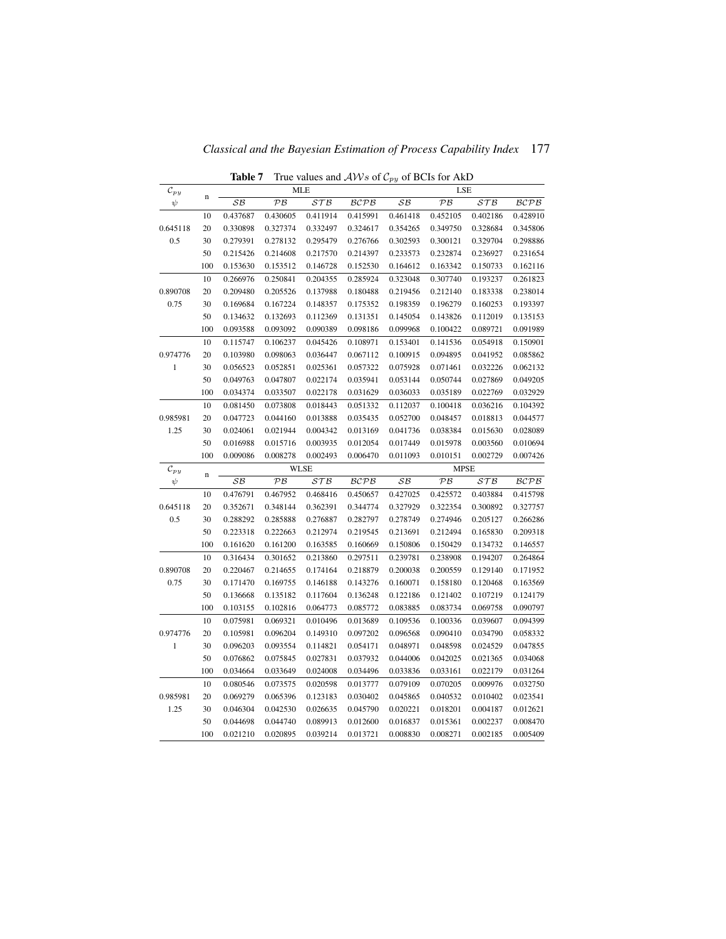*Classical and the Bayesian Estimation of Process Capability Index* 177

|                    |             |                          |             |          | $\bullet$ $\bullet$ $\bullet$ $\bullet$ $\bullet$ $\bullet$ $\mu$ <i>y</i> |                          |             |                 |          |
|--------------------|-------------|--------------------------|-------------|----------|----------------------------------------------------------------------------|--------------------------|-------------|-----------------|----------|
| $\mathcal{C}_{py}$ |             |                          | <b>MLE</b>  |          |                                                                            |                          | LSE         |                 |          |
| $\psi$             | $\mathbf n$ | SB                       | $P$ $B$     | STB      | BCPB                                                                       | SB                       | $P$ $B$     | $\mathcal{STB}$ | BCPB     |
|                    | 10          | 0.437687                 | 0.430605    | 0.411914 | 0.415991                                                                   | 0.461418                 | 0.452105    | 0.402186        | 0.428910 |
| 0.645118           | 20          | 0.330898                 | 0.327374    | 0.332497 | 0.324617                                                                   | 0.354265                 | 0.349750    | 0.328684        | 0.345806 |
| 0.5                | 30          | 0.279391                 | 0.278132    | 0.295479 | 0.276766                                                                   | 0.302593                 | 0.300121    | 0.329704        | 0.298886 |
|                    | 50          | 0.215426                 | 0.214608    | 0.217570 | 0.214397                                                                   | 0.233573                 | 0.232874    | 0.236927        | 0.231654 |
|                    | 100         | 0.153630                 | 0.153512    | 0.146728 | 0.152530                                                                   | 0.164612                 | 0.163342    | 0.150733        | 0.162116 |
|                    | 10          | 0.266976                 | 0.250841    | 0.204355 | 0.285924                                                                   | 0.323048                 | 0.307740    | 0.193237        | 0.261823 |
| 0.890708           | 20          | 0.209480                 | 0.205526    | 0.137988 | 0.180488                                                                   | 0.219456                 | 0.212140    | 0.183338        | 0.238014 |
| 0.75               | 30          | 0.169684                 | 0.167224    | 0.148357 | 0.175352                                                                   | 0.198359                 | 0.196279    | 0.160253        | 0.193397 |
|                    | 50          | 0.134632                 | 0.132693    | 0.112369 | 0.131351                                                                   | 0.145054                 | 0.143826    | 0.112019        | 0.135153 |
|                    | 100         | 0.093588                 | 0.093092    | 0.090389 | 0.098186                                                                   | 0.099968                 | 0.100422    | 0.089721        | 0.091989 |
|                    | 10          | 0.115747                 | 0.106237    | 0.045426 | 0.108971                                                                   | 0.153401                 | 0.141536    | 0.054918        | 0.150901 |
| 0.974776           | 20          | 0.103980                 | 0.098063    | 0.036447 | 0.067112                                                                   | 0.100915                 | 0.094895    | 0.041952        | 0.085862 |
| 1                  | 30          | 0.056523                 | 0.052851    | 0.025361 | 0.057322                                                                   | 0.075928                 | 0.071461    | 0.032226        | 0.062132 |
|                    | 50          | 0.049763                 | 0.047807    | 0.022174 | 0.035941                                                                   | 0.053144                 | 0.050744    | 0.027869        | 0.049205 |
|                    | 100         | 0.034374                 | 0.033507    | 0.022178 | 0.031629                                                                   | 0.036033                 | 0.035189    | 0.022769        | 0.032929 |
|                    | 10          | 0.081450                 | 0.073808    | 0.018443 | 0.051332                                                                   | 0.112037                 | 0.100418    | 0.036216        | 0.104392 |
| 0.985981           | 20          | 0.047723                 | 0.044160    | 0.013888 | 0.035435                                                                   | 0.052700                 | 0.048457    | 0.018813        | 0.044577 |
| 1.25               | 30          | 0.024061                 | 0.021944    | 0.004342 | 0.013169                                                                   | 0.041736                 | 0.038384    | 0.015630        | 0.028089 |
|                    | 50          | 0.016988                 | 0.015716    | 0.003935 | 0.012054                                                                   | 0.017449                 | 0.015978    | 0.003560        | 0.010694 |
|                    | 100         | 0.009086                 | 0.008278    | 0.002493 | 0.006470                                                                   | 0.011093                 | 0.010151    | 0.002729        | 0.007426 |
| $\mathcal{C}_{py}$ |             |                          | <b>WLSE</b> |          |                                                                            |                          | <b>MPSE</b> |                 |          |
| $\psi$             | n           | $\mathcal{S}\mathcal{B}$ | $P$ $B$     | STB      | BCPB                                                                       | $\mathcal{S}\mathcal{B}$ | $P$ $B$     | STB             | BCPB     |
|                    | 10          | 0.476791                 | 0.467952    | 0.468416 | 0.450657                                                                   | 0.427025                 | 0.425572    | 0.403884        | 0.415798 |
| 0.645118           | 20          | 0.352671                 | 0.348144    | 0.362391 | 0.344774                                                                   | 0.327929                 | 0.322354    | 0.300892        | 0.327757 |
| 0.5                | 30          | 0.288292                 | 0.285888    | 0.276887 | 0.282797                                                                   | 0.278749                 | 0.274946    | 0.205127        | 0.266286 |
|                    | 50          | 0.223318                 | 0.222663    | 0.212974 | 0.219545                                                                   | 0.213691                 | 0.212494    | 0.165830        | 0.209318 |
|                    | 100         | 0.161620                 | 0.161200    | 0.163585 | 0.160669                                                                   | 0.150806                 | 0.150429    | 0.134732        | 0.146557 |
|                    | 10          | 0.316434                 | 0.301652    | 0.213860 | 0.297511                                                                   | 0.239781                 | 0.238908    | 0.194207        | 0.264864 |
| 0.890708           | 20          | 0.220467                 | 0.214655    | 0.174164 | 0.218879                                                                   | 0.200038                 | 0.200559    | 0.129140        | 0.171952 |
| 0.75               | 30          | 0.171470                 | 0.169755    | 0.146188 | 0.143276                                                                   | 0.160071                 | 0.158180    | 0.120468        | 0.163569 |
|                    | 50          | 0.136668                 | 0.135182    | 0.117604 | 0.136248                                                                   | 0.122186                 | 0.121402    | 0.107219        | 0.124179 |
|                    | 100         | 0.103155                 | 0.102816    | 0.064773 | 0.085772                                                                   | 0.083885                 | 0.083734    | 0.069758        | 0.090797 |
|                    | 10          | 0.075981                 | 0.069321    | 0.010496 | 0.013689                                                                   | 0.109536                 | 0.100336    | 0.039607        | 0.094399 |
| 0.974776           | 20          | 0.105981                 | 0.096204    | 0.149310 | 0.097202                                                                   | 0.096568                 | 0.090410    | 0.034790        | 0.058332 |
| 1                  | 30          | 0.096203                 | 0.093554    | 0.114821 | 0.054171                                                                   | 0.048971                 | 0.048598    | 0.024529        | 0.047855 |
|                    | 50          | 0.076862                 | 0.075845    | 0.027831 | 0.037932                                                                   | 0.044006                 | 0.042025    | 0.021365        | 0.034068 |
|                    | 100         | 0.034664                 | 0.033649    | 0.024008 | 0.034496                                                                   | 0.033836                 | 0.033161    | 0.022179        | 0.031264 |
|                    | 10          | 0.080546                 | 0.073575    | 0.020598 | 0.013777                                                                   | 0.079109                 | 0.070205    | 0.009976        | 0.032750 |
| 0.985981           | 20          | 0.069279                 | 0.065396    | 0.123183 | 0.030402                                                                   | 0.045865                 | 0.040532    | 0.010402        | 0.023541 |
| 1.25               | 30          | 0.046304                 | 0.042530    | 0.026635 | 0.045790                                                                   | 0.020221                 | 0.018201    | 0.004187        | 0.012621 |
|                    |             |                          |             |          |                                                                            |                          |             |                 |          |
|                    | 50          | 0.044698                 | 0.044740    | 0.089913 | 0.012600                                                                   | 0.016837                 | 0.015361    | 0.002237        | 0.008470 |

<span id="page-24-0"></span>**Table 7** True values and  $\mathcal{AWs}$  of  $\mathcal{C}_{py}$  of BCIs for AkD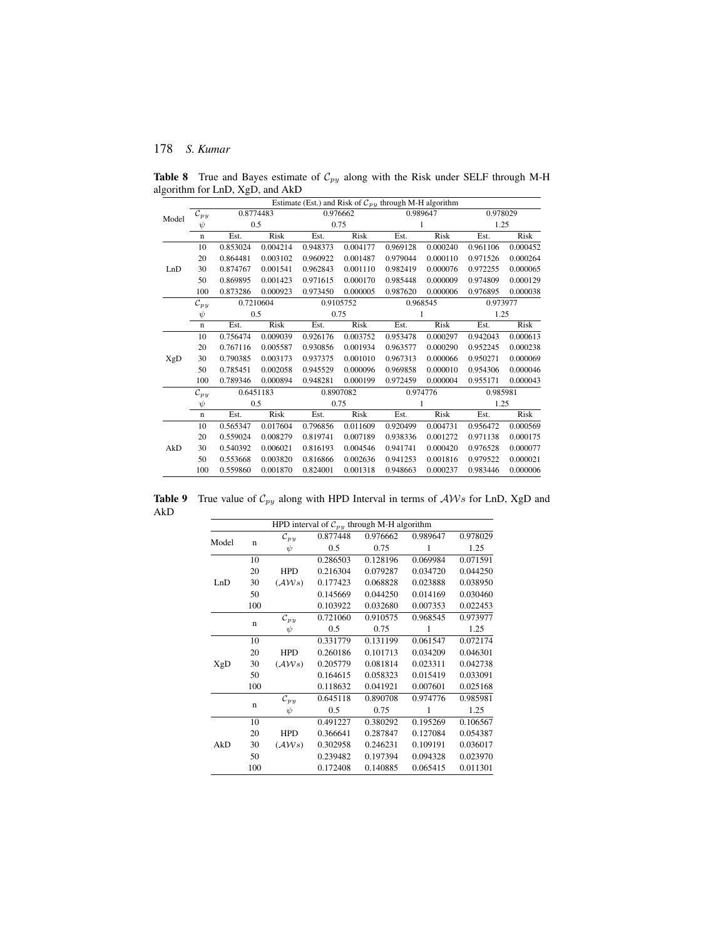<span id="page-25-0"></span>**Table 8** True and Bayes estimate of  $\mathcal{C}_{py}$  along with the Risk under SELF through M-H algorithm for LnD, XgD, and AkD

|       |                     |          |           |          | Estimate (Est.) and Risk of $C_{p\gamma}$ through M-H algorithm |          |             |          |          |
|-------|---------------------|----------|-----------|----------|-----------------------------------------------------------------|----------|-------------|----------|----------|
|       | $\bar{\cal C}_{py}$ |          | 0.8774483 |          | 0.976662                                                        |          | 0.989647    | 0.978029 |          |
| Model | $\psi$              |          | 0.5       |          | 0.75                                                            |          | 1           | 1.25     |          |
|       | $\mathbf n$         | Est.     | Risk      | Est.     | Risk                                                            | Est.     | Risk        | Est.     | Risk     |
|       | 10                  | 0.853024 | 0.004214  | 0.948373 | 0.004177                                                        | 0.969128 | 0.000240    | 0.961106 | 0.000452 |
|       | 20                  | 0.864481 | 0.003102  | 0.960922 | 0.001487                                                        | 0.979044 | 0.000110    | 0.971526 | 0.000264 |
| LnD   | 30                  | 0.874767 | 0.001541  | 0.962843 | 0.001110                                                        | 0.982419 | 0.000076    | 0.972255 | 0.000065 |
|       | 50                  | 0.869895 | 0.001423  | 0.971615 | 0.000170                                                        | 0.985448 | 0.000009    | 0.974809 | 0.000129 |
|       | 100                 | 0.873286 | 0.000923  | 0.973450 | 0.000005                                                        | 0.987620 | 0.000006    | 0.976895 | 0.000038 |
|       | $\mathcal{C}_{py}$  |          | 0.7210604 |          | 0.9105752                                                       |          | 0.968545    | 0.973977 |          |
|       | $\psi$              |          | 0.5       |          | 0.75                                                            |          | 1           | 1.25     |          |
|       | $\mathbf n$         | Est.     | Risk      | Est.     | Risk                                                            | Est.     | <b>Risk</b> | Est.     | Risk     |
|       | 10                  | 0.756474 | 0.009039  | 0.926176 | 0.003752                                                        | 0.953478 | 0.000297    | 0.942043 | 0.000613 |
|       | 20                  | 0.767116 | 0.005587  | 0.930856 | 0.001934                                                        | 0.963577 | 0.000290    | 0.952245 | 0.000238 |
| XgD   | 30                  | 0.790385 | 0.003173  | 0.937375 | 0.001010                                                        | 0.967313 | 0.000066    | 0.950271 | 0.000069 |
|       | 50                  | 0.785451 | 0.002058  | 0.945529 | 0.000096                                                        | 0.969858 | 0.000010    | 0.954306 | 0.000046 |
|       | 100                 | 0.789346 | 0.000894  | 0.948281 | 0.000199                                                        | 0.972459 | 0.000004    | 0.955171 | 0.000043 |
|       | ${\cal C}_{py}$     |          | 0.6451183 |          | 0.8907082                                                       |          | 0.974776    | 0.985981 |          |
|       | $\psi$              |          | 0.5       |          | 0.75                                                            |          | 1           | 1.25     |          |
|       | $\mathbf n$         | Est.     | Risk      | Est.     | Risk                                                            | Est.     | Risk        | Est.     | Risk     |
|       | 10                  | 0.565347 | 0.017604  | 0.796856 | 0.011609                                                        | 0.920499 | 0.004731    | 0.956472 | 0.000569 |
|       | 20                  | 0.559024 | 0.008279  | 0.819741 | 0.007189                                                        | 0.938336 | 0.001272    | 0.971138 | 0.000175 |
| AkD   | 30                  | 0.540392 | 0.006021  | 0.816193 | 0.004546                                                        | 0.941741 | 0.000420    | 0.976528 | 0.000077 |
|       | 50                  | 0.553668 | 0.003820  | 0.816866 | 0.002636                                                        | 0.941253 | 0.001816    | 0.979522 | 0.000021 |
|       | 100                 | 0.559860 | 0.001870  | 0.824001 | 0.001318                                                        | 0.948663 | 0.000237    | 0.983446 | 0.000006 |

**Table 9** True value of  $C_{py}$  along with HPD Interval in terms of  $\mathcal{A}Ws$  for LnD, XgD and AkD

<span id="page-25-1"></span>

|       |             |                              |          | HPD interval of $C_{py}$ through M-H algorithm |          |          |
|-------|-------------|------------------------------|----------|------------------------------------------------|----------|----------|
| Model | $\mathbf n$ | $\mathcal{C}_{py}$           | 0.877448 | 0.976662                                       | 0.989647 | 0.978029 |
|       |             | $\psi$                       | 0.5      | 0.75                                           | 1        | 1.25     |
|       | 10          |                              | 0.286503 | 0.128196                                       | 0.069984 | 0.071591 |
|       | 20          | <b>HPD</b>                   | 0.216304 | 0.079287                                       | 0.034720 | 0.044250 |
| LnD   | 30          | $(\mathcal{AWs})$            | 0.177423 | 0.068828                                       | 0.023888 | 0.038950 |
|       | 50          |                              | 0.145669 | 0.044250                                       | 0.014169 | 0.030460 |
|       | 100         |                              | 0.103922 | 0.032680                                       | 0.007353 | 0.022453 |
|       |             | $\mathcal{C}_{py}$           | 0.721060 | 0.910575                                       | 0.968545 | 0.973977 |
|       | $\mathbf n$ | $\psi$                       | 0.5      | 0.75                                           | 1        | 1.25     |
|       | 10          |                              | 0.331779 | 0.131199                                       | 0.061547 | 0.072174 |
|       | 20          | <b>HPD</b>                   | 0.260186 | 0.101713                                       | 0.034209 | 0.046301 |
| XgD   | 30          | $(\mathcal{A} \mathcal{W}s)$ | 0.205779 | 0.081814                                       | 0.023311 | 0.042738 |
|       | 50          |                              | 0.164615 | 0.058323                                       | 0.015419 | 0.033091 |
|       | 100         |                              | 0.118632 | 0.041921                                       | 0.007601 | 0.025168 |
|       |             | $\mathcal{C}_{p}$            | 0.645118 | 0.890708                                       | 0.974776 | 0.985981 |
|       | $\mathbf n$ | $\psi$                       | 0.5      | 0.75                                           | 1        | 1.25     |
|       | 10          |                              | 0.491227 | 0.380292                                       | 0.195269 | 0.106567 |
|       | 20          | <b>HPD</b>                   | 0.366641 | 0.287847                                       | 0.127084 | 0.054387 |
| AkD   | 30          | $(\mathcal{AWs})$            | 0.302958 | 0.246231                                       | 0.109191 | 0.036017 |
|       | 50          |                              | 0.239482 | 0.197394                                       | 0.094328 | 0.023970 |
|       | 100         |                              | 0.172408 | 0.140885                                       | 0.065415 | 0.011301 |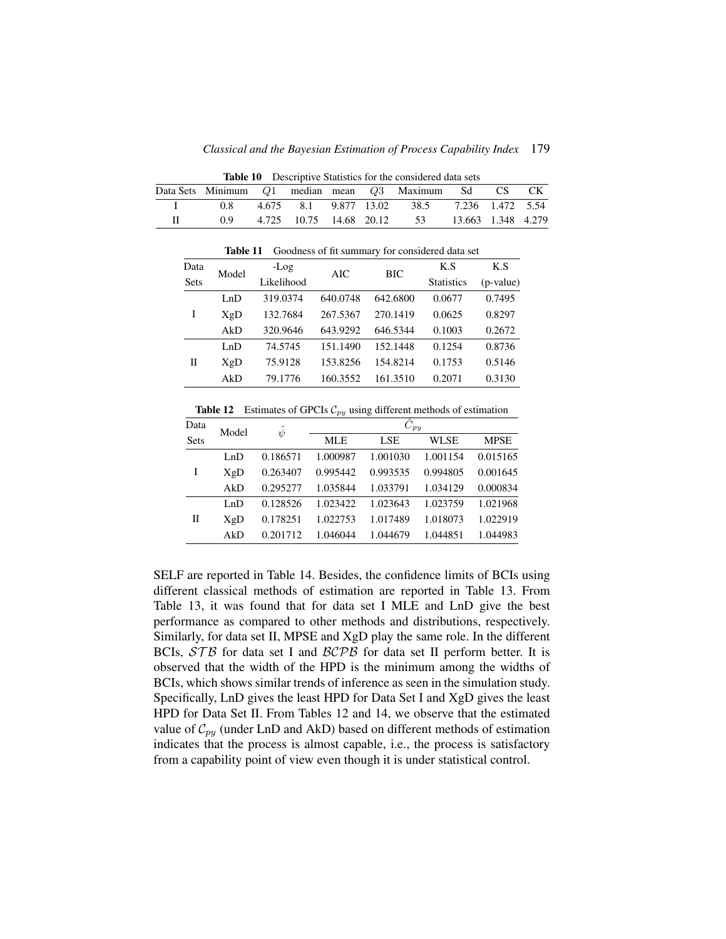<span id="page-26-0"></span>*Classical and the Bayesian Estimation of Process Capability Index* 179

|     |  |  | <b>Table 10</b> Descriptive Statistics for the considered data sets |  |  |
|-----|--|--|---------------------------------------------------------------------|--|--|
|     |  |  | Data Sets Minimum $Q1$ median mean $Q3$ Maximum Sd CS CK            |  |  |
| 0.8 |  |  | 4.675 8.1 9.877 13.02 38.5 7.236 1.472 5.54                         |  |  |
| 09  |  |  | 4.725 10.75 14.68 20.12 53 13.663 1.348 4.279                       |  |  |

<span id="page-26-1"></span>

| Goodness of fit summary for considered data set<br>Table 11 |       |            |          |            |                   |           |  |  |  |  |
|-------------------------------------------------------------|-------|------------|----------|------------|-------------------|-----------|--|--|--|--|
| Data                                                        | Model | -Log       | AIC.     | <b>BIC</b> |                   | K.S       |  |  |  |  |
| <b>Sets</b>                                                 |       | Likelihood |          |            | <b>Statistics</b> | (p-value) |  |  |  |  |
|                                                             | LnD   | 319.0374   | 640.0748 | 642.6800   | 0.0677            | 0.7495    |  |  |  |  |
| I                                                           | XgD   | 132.7684   | 267.5367 | 270.1419   | 0.0625            | 0.8297    |  |  |  |  |
|                                                             | AkD   | 320.9646   | 643.9292 | 646.5344   | 0.1003            | 0.2672    |  |  |  |  |
|                                                             | LnD   | 74.5745    | 151.1490 | 152.1448   | 0.1254            | 0.8736    |  |  |  |  |

**Table 12** Estimates of GPCIs  $C_{py}$  using different methods of estimation

<span id="page-26-2"></span>XgD 75.9128 153.8256 154.8214 0.1753 0.5146 AkD 79.1776 160.3552 161.3510 0.2071 0.3130

II

| Data | Model | $\hat{\psi}$ |            | $\overline{\hat{C}_{py}}$ |             |             |
|------|-------|--------------|------------|---------------------------|-------------|-------------|
| Sets |       |              | <b>MLE</b> | <b>LSE</b>                | <b>WLSE</b> | <b>MPSE</b> |
|      | LnD   | 0.186571     | 1.000987   | 1.001030                  | 1.001154    | 0.015165    |
| I    | XgD   | 0.263407     | 0.995442   | 0.993535                  | 0.994805    | 0.001645    |
|      | AkD   | 0.295277     | 1.035844   | 1.033791                  | 1.034129    | 0.000834    |
|      | LnD   | 0.128526     | 1.023422   | 1.023643                  | 1.023759    | 1.021968    |
| П    | XgD   | 0.178251     | 1.022753   | 1.017489                  | 1.018073    | 1.022919    |
|      | AkD   | 0.201712     | 1.046044   | 1.044679                  | 1.044851    | 1.044983    |

SELF are reported in Table [14.](#page-27-0) Besides, the confidence limits of BCIs using different classical methods of estimation are reported in Table [13.](#page-27-1) From Table [13,](#page-27-1) it was found that for data set I MLE and LnD give the best performance as compared to other methods and distributions, respectively. Similarly, for data set II, MPSE and XgD play the same role. In the different BCIs,  $STB$  for data set I and  $BCPB$  for data set II perform better. It is observed that the width of the HPD is the minimum among the widths of BCIs, which shows similar trends of inference as seen in the simulation study. Specifically, LnD gives the least HPD for Data Set I and XgD gives the least HPD for Data Set II. From Tables [12](#page-26-2) and [14,](#page-27-0) we observe that the estimated value of  $C_{py}$  (under LnD and AkD) based on different methods of estimation indicates that the process is almost capable, i.e., the process is satisfactory from a capability point of view even though it is under statistical control.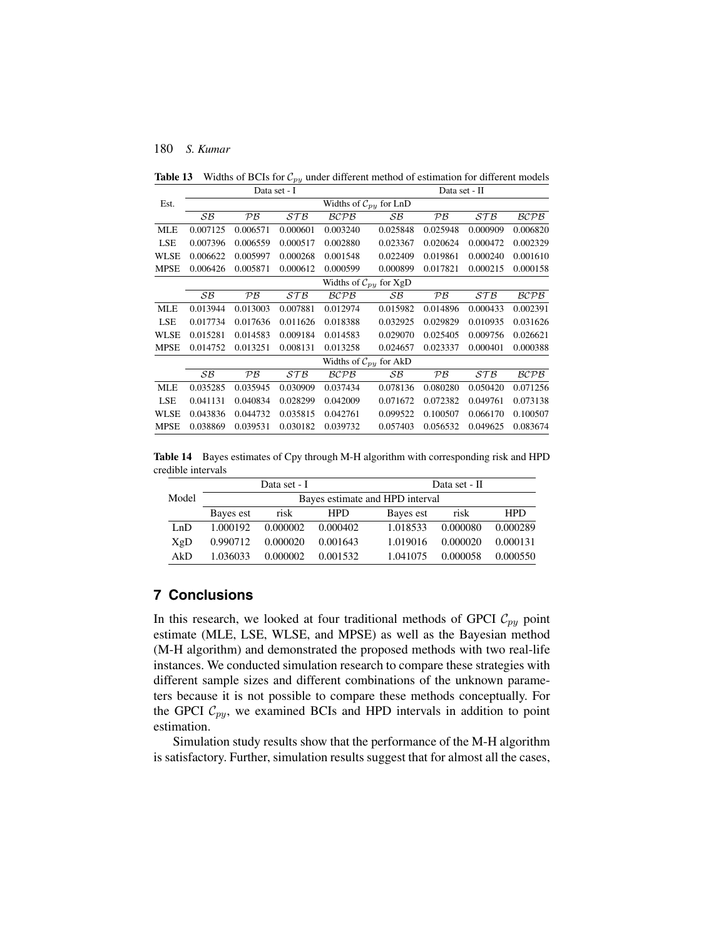|             |                          |          | Data set - I |          | Data set - II                                            |          |          |          |  |
|-------------|--------------------------|----------|--------------|----------|----------------------------------------------------------|----------|----------|----------|--|
| Est.        |                          |          |              |          | Widths of $\mathcal{C}_{\mathit{pv}}$ for LnD            |          |          |          |  |
|             | $\mathcal{S}\mathcal{B}$ | PB       | STB          | BCPB     | SB                                                       | PB       | STB      | BCPB     |  |
| <b>MLE</b>  | 0.007125                 | 0.006571 | 0.000601     | 0.003240 | 0.025848                                                 | 0.025948 | 0.000909 | 0.006820 |  |
| <b>LSE</b>  | 0.007396                 | 0.006559 | 0.000517     | 0.002880 | 0.023367                                                 | 0.020624 | 0.000472 | 0.002329 |  |
| WLSE        | 0.006622                 | 0.005997 | 0.000268     | 0.001548 | 0.022409                                                 | 0.019861 | 0.000240 | 0.001610 |  |
| <b>MPSE</b> | 0.006426                 | 0.005871 | 0.000612     | 0.000599 | 0.000899                                                 | 0.017821 | 0.000215 | 0.000158 |  |
|             |                          |          |              |          | Widths of $\mathcal{C}_{\mathcal{D}\mathcal{U}}$ for XgD |          |          |          |  |
|             | $\mathcal{S}\mathcal{B}$ | PB       | STB          | BCPB     | $\mathcal{S}\mathcal{B}$                                 | PB       | STB      | BCPB     |  |
| <b>MLE</b>  | 0.013944                 | 0.013003 | 0.007881     | 0.012974 | 0.015982                                                 | 0.014896 | 0.000433 | 0.002391 |  |
| <b>LSE</b>  | 0.017734                 | 0.017636 | 0.011626     | 0.018388 | 0.032925                                                 | 0.029829 | 0.010935 | 0.031626 |  |
| WLSE        | 0.015281                 | 0.014583 | 0.009184     | 0.014583 | 0.029070                                                 | 0.025405 | 0.009756 | 0.026621 |  |
| <b>MPSE</b> | 0.014752                 | 0.013251 | 0.008131     | 0.013258 | 0.024657                                                 | 0.023337 | 0.000401 | 0.000388 |  |
|             |                          |          |              |          | Widths of $\mathcal{C}_{\mathit{pv}}$ for AkD            |          |          |          |  |
|             | $\mathcal{S}\mathcal{B}$ | PB       | STB          | BCPB     | SB                                                       | PB       | STB      | BCPB     |  |
| <b>MLE</b>  | 0.035285                 | 0.035945 | 0.030909     | 0.037434 | 0.078136                                                 | 0.080280 | 0.050420 | 0.071256 |  |
| <b>LSE</b>  | 0.041131                 | 0.040834 | 0.028299     | 0.042009 | 0.071672                                                 | 0.072382 | 0.049761 | 0.073138 |  |
| WLSE        | 0.043836                 | 0.044732 | 0.035815     | 0.042761 | 0.099522                                                 | 0.100507 | 0.066170 | 0.100507 |  |
| <b>MPSE</b> | 0.038869                 | 0.039531 | 0.030182     | 0.039732 | 0.057403                                                 | 0.056532 | 0.049625 | 0.083674 |  |

<span id="page-27-1"></span>**Table 13** Widths of BCIs for  $C_{py}$  under different method of estimation for different models

Table 14 Bayes estimates of Cpy through M-H algorithm with corresponding risk and HPD credible intervals

<span id="page-27-0"></span>

|       |           | Data set - I |            |                                 | Data set - II |            |  |  |  |
|-------|-----------|--------------|------------|---------------------------------|---------------|------------|--|--|--|
| Model |           |              |            | Bayes estimate and HPD interval |               |            |  |  |  |
|       | Bayes est | risk         | <b>HPD</b> | Bayes est                       | risk          | <b>HPD</b> |  |  |  |
| LnD   | 1.000192  | 0.000002     | 0.000402   | 1.018533                        | 0.000080      | 0.000289   |  |  |  |
| XgD   | 0.990712  | 0.000020     | 0.001643   | 1.019016                        | 0.000020      | 0.000131   |  |  |  |
| AkD   | 1.036033  | 0.000002     | 0.001532   | 1.041075                        | 0.000058      | 0.000550   |  |  |  |

# **7 Conclusions**

In this research, we looked at four traditional methods of GPCI  $\mathcal{C}_{py}$  point estimate (MLE, LSE, WLSE, and MPSE) as well as the Bayesian method (M-H algorithm) and demonstrated the proposed methods with two real-life instances. We conducted simulation research to compare these strategies with different sample sizes and different combinations of the unknown parameters because it is not possible to compare these methods conceptually. For the GPCI  $C_{\text{pv}}$ , we examined BCIs and HPD intervals in addition to point estimation.

Simulation study results show that the performance of the M-H algorithm is satisfactory. Further, simulation results suggest that for almost all the cases,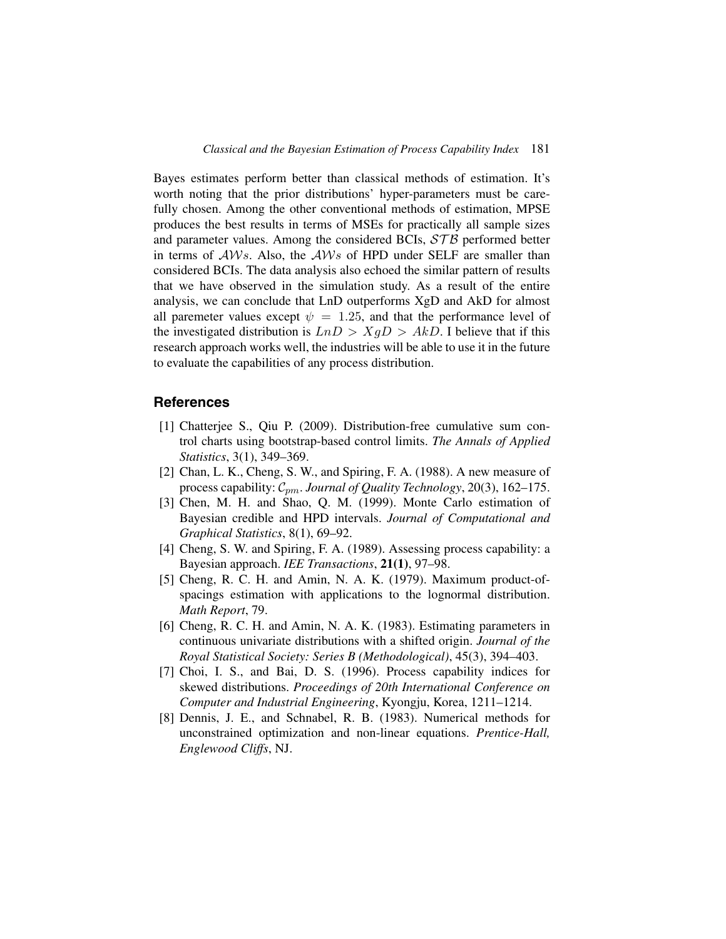Bayes estimates perform better than classical methods of estimation. It's worth noting that the prior distributions' hyper-parameters must be carefully chosen. Among the other conventional methods of estimation, MPSE produces the best results in terms of MSEs for practically all sample sizes and parameter values. Among the considered BCIs,  $STB$  performed better in terms of  $\mathcal{A}Ws$ . Also, the  $\mathcal{A}Ws$  of HPD under SELF are smaller than considered BCIs. The data analysis also echoed the similar pattern of results that we have observed in the simulation study. As a result of the entire analysis, we can conclude that LnD outperforms XgD and AkD for almost all paremeter values except  $\psi = 1.25$ , and that the performance level of the investigated distribution is  $LnD > XgD > AkD$ . I believe that if this research approach works well, the industries will be able to use it in the future to evaluate the capabilities of any process distribution.

#### **References**

- [1] Chatterjee S., Qiu P. (2009). Distribution-free cumulative sum control charts using bootstrap-based control limits. *The Annals of Applied Statistics*, 3(1), 349–369.
- [2] Chan, L. K., Cheng, S. W., and Spiring, F. A. (1988). A new measure of process capability:  $C_{pm}$ . *Journal of Quality Technology*, 20(3), 162–175.
- [3] Chen, M. H. and Shao, Q. M. (1999). Monte Carlo estimation of Bayesian credible and HPD intervals. *Journal of Computational and Graphical Statistics*, 8(1), 69–92.
- [4] Cheng, S. W. and Spiring, F. A. (1989). Assessing process capability: a Bayesian approach. *IEE Transactions*, **21(1)**, 97–98.
- [5] Cheng, R. C. H. and Amin, N. A. K. (1979). Maximum product-ofspacings estimation with applications to the lognormal distribution. *Math Report*, 79.
- [6] Cheng, R. C. H. and Amin, N. A. K. (1983). Estimating parameters in continuous univariate distributions with a shifted origin. *Journal of the Royal Statistical Society: Series B (Methodological)*, 45(3), 394–403.
- [7] Choi, I. S., and Bai, D. S. (1996). Process capability indices for skewed distributions. *Proceedings of 20th International Conference on Computer and Industrial Engineering*, Kyongju, Korea, 1211–1214.
- [8] Dennis, J. E., and Schnabel, R. B. (1983). Numerical methods for unconstrained optimization and non-linear equations. *Prentice-Hall, Englewood Cliffs*, NJ.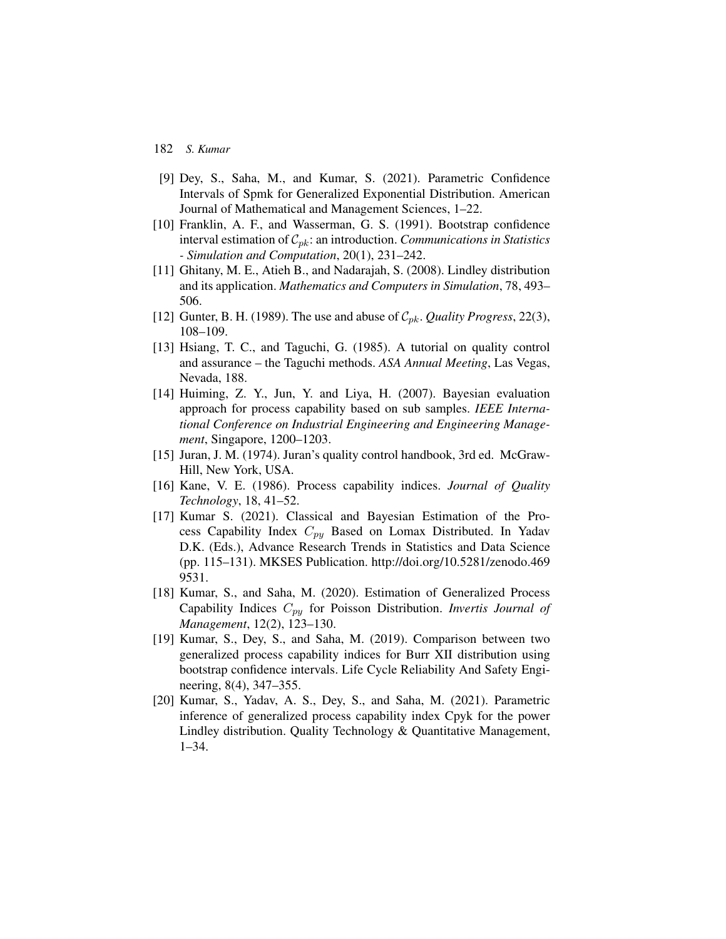- [9] Dey, S., Saha, M., and Kumar, S. (2021). Parametric Confidence Intervals of Spmk for Generalized Exponential Distribution. American Journal of Mathematical and Management Sciences, 1–22.
- [10] Franklin, A. F., and Wasserman, G. S. (1991). Bootstrap confidence interval estimation of  $C_{pk}$ : an introduction. *Communications in Statistics - Simulation and Computation*, 20(1), 231–242.
- [11] Ghitany, M. E., Atieh B., and Nadarajah, S. (2008). Lindley distribution and its application. *Mathematics and Computers in Simulation*, 78, 493– 506.
- [12] Gunter, B. H. (1989). The use and abuse of  $C_{pk}$ . *Quality Progress*, 22(3), 108–109.
- [13] Hsiang, T. C., and Taguchi, G. (1985). A tutorial on quality control and assurance – the Taguchi methods. *ASA Annual Meeting*, Las Vegas, Nevada, 188.
- [14] Huiming, Z. Y., Jun, Y. and Liya, H. (2007). Bayesian evaluation approach for process capability based on sub samples. *IEEE International Conference on Industrial Engineering and Engineering Management*, Singapore, 1200–1203.
- [15] Juran, J. M. (1974). Juran's quality control handbook, 3rd ed. McGraw-Hill, New York, USA.
- [16] Kane, V. E. (1986). Process capability indices. *Journal of Quality Technology*, 18, 41–52.
- [17] Kumar S. (2021). Classical and Bayesian Estimation of the Process Capability Index  $C_{py}$  Based on Lomax Distributed. In Yadav D.K. (Eds.), Advance Research Trends in Statistics and Data Science (pp. 115–131). MKSES Publication. [http://doi.org/10.5281/zenodo.469](http://doi.org/10.5281/zenodo.4699531) [9531.](http://doi.org/10.5281/zenodo.4699531)
- [18] Kumar, S., and Saha, M. (2020). Estimation of Generalized Process Capability Indices C<sub>py</sub> for Poisson Distribution. *Invertis Journal of Management*, 12(2), 123–130.
- [19] Kumar, S., Dey, S., and Saha, M. (2019). Comparison between two generalized process capability indices for Burr XII distribution using bootstrap confidence intervals. Life Cycle Reliability And Safety Engineering, 8(4), 347–355.
- [20] Kumar, S., Yadav, A. S., Dey, S., and Saha, M. (2021). Parametric inference of generalized process capability index Cpyk for the power Lindley distribution. Quality Technology & Quantitative Management, 1–34.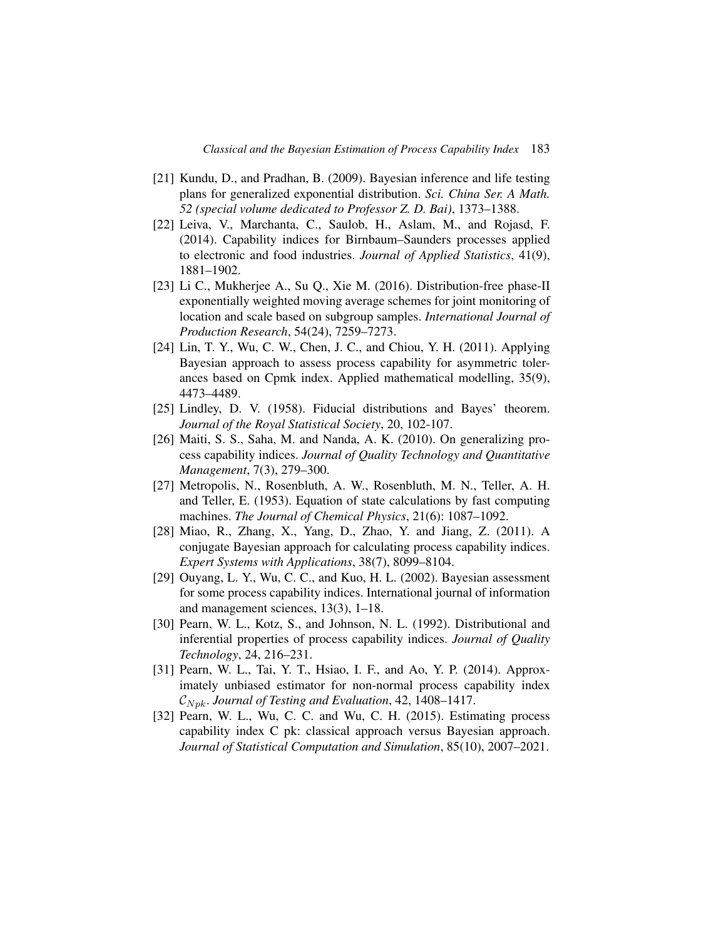- [21] Kundu, D., and Pradhan, B. (2009). Bayesian inference and life testing plans for generalized exponential distribution. *Sci. China Ser. A Math. 52 (special volume dedicated to Professor Z. D. Bai)*, 1373–1388.
- [22] Leiva, V., Marchanta, C., Saulob, H., Aslam, M., and Rojasd, F. (2014). Capability indices for Birnbaum–Saunders processes applied to electronic and food industries. *Journal of Applied Statistics*, 41(9), 1881–1902.
- [23] Li C., Mukherjee A., Su Q., Xie M. (2016). Distribution-free phase-II exponentially weighted moving average schemes for joint monitoring of location and scale based on subgroup samples. *International Journal of Production Research*, 54(24), 7259–7273.
- [24] Lin, T. Y., Wu, C. W., Chen, J. C., and Chiou, Y. H. (2011). Applying Bayesian approach to assess process capability for asymmetric tolerances based on Cpmk index. Applied mathematical modelling, 35(9), 4473–4489.
- [25] Lindley, D. V. (1958). Fiducial distributions and Bayes' theorem. *Journal of the Royal Statistical Society*, 20, 102-107.
- [26] Maiti, S. S., Saha, M. and Nanda, A. K. (2010). On generalizing process capability indices. *Journal of Quality Technology and Quantitative Management*, 7(3), 279–300.
- [27] Metropolis, N., Rosenbluth, A. W., Rosenbluth, M. N., Teller, A. H. and Teller, E. (1953). Equation of state calculations by fast computing machines. *The Journal of Chemical Physics*, 21(6): 1087–1092.
- [28] Miao, R., Zhang, X., Yang, D., Zhao, Y. and Jiang, Z. (2011). A conjugate Bayesian approach for calculating process capability indices. *Expert Systems with Applications*, 38(7), 8099–8104.
- [29] Ouyang, L. Y., Wu, C. C., and Kuo, H. L. (2002). Bayesian assessment for some process capability indices. International journal of information and management sciences, 13(3), 1–18.
- [30] Pearn, W. L., Kotz, S., and Johnson, N. L. (1992). Distributional and inferential properties of process capability indices. *Journal of Quality Technology*, 24, 216–231.
- [31] Pearn, W. L., Tai, Y. T., Hsiao, I. F., and Ao, Y. P. (2014). Approximately unbiased estimator for non-normal process capability index  $\mathcal{C}_{Npk}$ *. Journal of Testing and Evaluation*, 42, 1408–1417.
- [32] Pearn, W. L., Wu, C. C. and Wu, C. H. (2015). Estimating process capability index C pk: classical approach versus Bayesian approach. *Journal of Statistical Computation and Simulation*, 85(10), 2007–2021.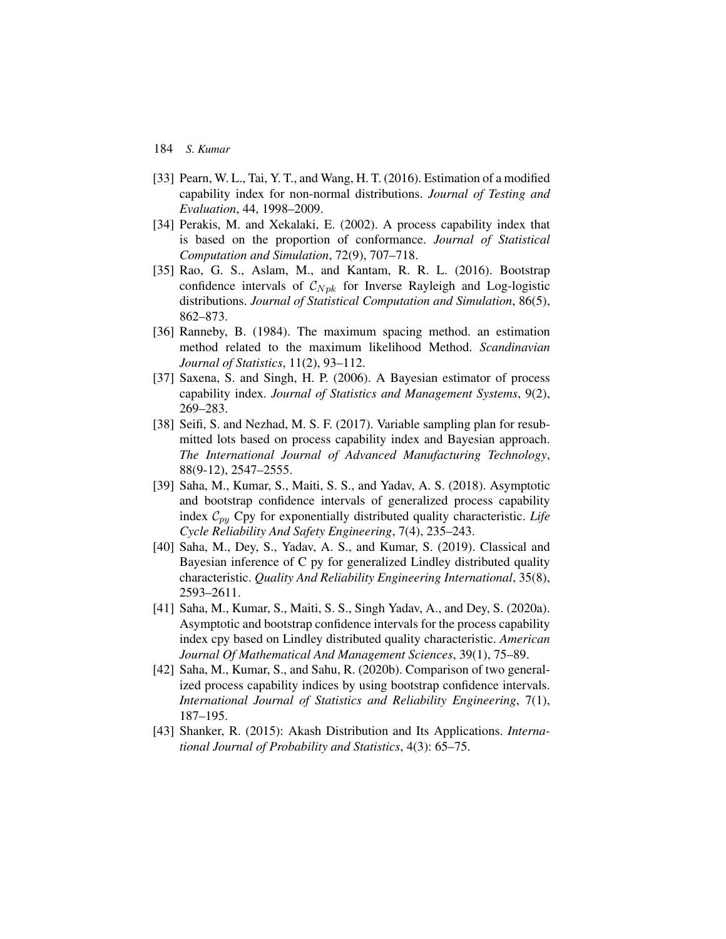- [33] Pearn, W. L., Tai, Y. T., and Wang, H. T. (2016). Estimation of a modified capability index for non-normal distributions. *Journal of Testing and Evaluation*, 44, 1998–2009.
- [34] Perakis, M. and Xekalaki, E. (2002). A process capability index that is based on the proportion of conformance. *Journal of Statistical Computation and Simulation*, 72(9), 707–718.
- [35] Rao, G. S., Aslam, M., and Kantam, R. R. L. (2016). Bootstrap confidence intervals of  $C_{Npk}$  for Inverse Rayleigh and Log-logistic distributions. *Journal of Statistical Computation and Simulation*, 86(5), 862–873.
- [36] Ranneby, B. (1984). The maximum spacing method. an estimation method related to the maximum likelihood Method. *Scandinavian Journal of Statistics*, 11(2), 93–112.
- [37] Saxena, S. and Singh, H. P. (2006). A Bayesian estimator of process capability index. *Journal of Statistics and Management Systems*, 9(2), 269–283.
- [38] Seifi, S. and Nezhad, M. S. F. (2017). Variable sampling plan for resubmitted lots based on process capability index and Bayesian approach. *The International Journal of Advanced Manufacturing Technology*, 88(9-12), 2547–2555.
- [39] Saha, M., Kumar, S., Maiti, S. S., and Yadav, A. S. (2018). Asymptotic and bootstrap confidence intervals of generalized process capability index  $C_{\nu\nu}$  Cpy for exponentially distributed quality characteristic. *Life Cycle Reliability And Safety Engineering*, 7(4), 235–243.
- [40] Saha, M., Dey, S., Yadav, A. S., and Kumar, S. (2019). Classical and Bayesian inference of C py for generalized Lindley distributed quality characteristic. *Quality And Reliability Engineering International*, 35(8), 2593–2611.
- [41] Saha, M., Kumar, S., Maiti, S. S., Singh Yadav, A., and Dey, S. (2020a). Asymptotic and bootstrap confidence intervals for the process capability index cpy based on Lindley distributed quality characteristic. *American Journal Of Mathematical And Management Sciences*, 39(1), 75–89.
- [42] Saha, M., Kumar, S., and Sahu, R. (2020b). Comparison of two generalized process capability indices by using bootstrap confidence intervals. *International Journal of Statistics and Reliability Engineering*, 7(1), 187–195.
- [43] Shanker, R. (2015): Akash Distribution and Its Applications. *International Journal of Probability and Statistics*, 4(3): 65–75.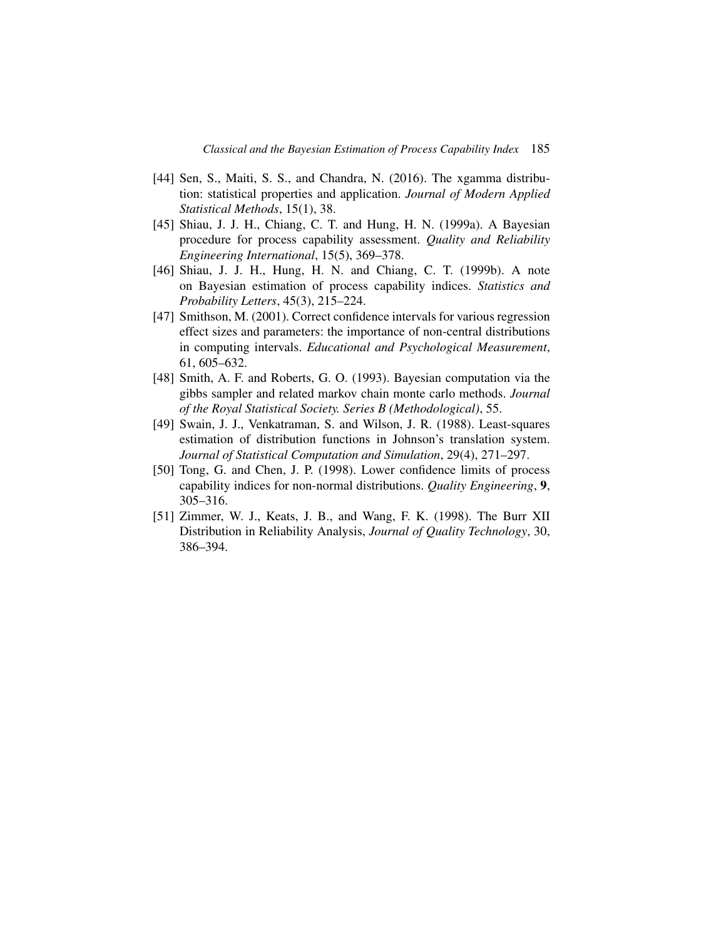- [44] Sen, S., Maiti, S. S., and Chandra, N. (2016). The xgamma distribution: statistical properties and application. *Journal of Modern Applied Statistical Methods*, 15(1), 38.
- [45] Shiau, J. J. H., Chiang, C. T. and Hung, H. N. (1999a). A Bayesian procedure for process capability assessment. *Quality and Reliability Engineering International*, 15(5), 369–378.
- [46] Shiau, J. J. H., Hung, H. N. and Chiang, C. T. (1999b). A note on Bayesian estimation of process capability indices. *Statistics and Probability Letters*, 45(3), 215–224.
- [47] Smithson, M. (2001). Correct confidence intervals for various regression effect sizes and parameters: the importance of non-central distributions in computing intervals. *Educational and Psychological Measurement*, 61, 605–632.
- [48] Smith, A. F. and Roberts, G. O. (1993). Bayesian computation via the gibbs sampler and related markov chain monte carlo methods. *Journal of the Royal Statistical Society. Series B (Methodological)*, 55.
- [49] Swain, J. J., Venkatraman, S. and Wilson, J. R. (1988). Least-squares estimation of distribution functions in Johnson's translation system. *Journal of Statistical Computation and Simulation*, 29(4), 271–297.
- [50] Tong, G. and Chen, J. P. (1998). Lower confidence limits of process capability indices for non-normal distributions. *Quality Engineering*, **9**, 305–316.
- [51] Zimmer, W. J., Keats, J. B., and Wang, F. K. (1998). The Burr XII Distribution in Reliability Analysis, *Journal of Quality Technology*, 30, 386–394.